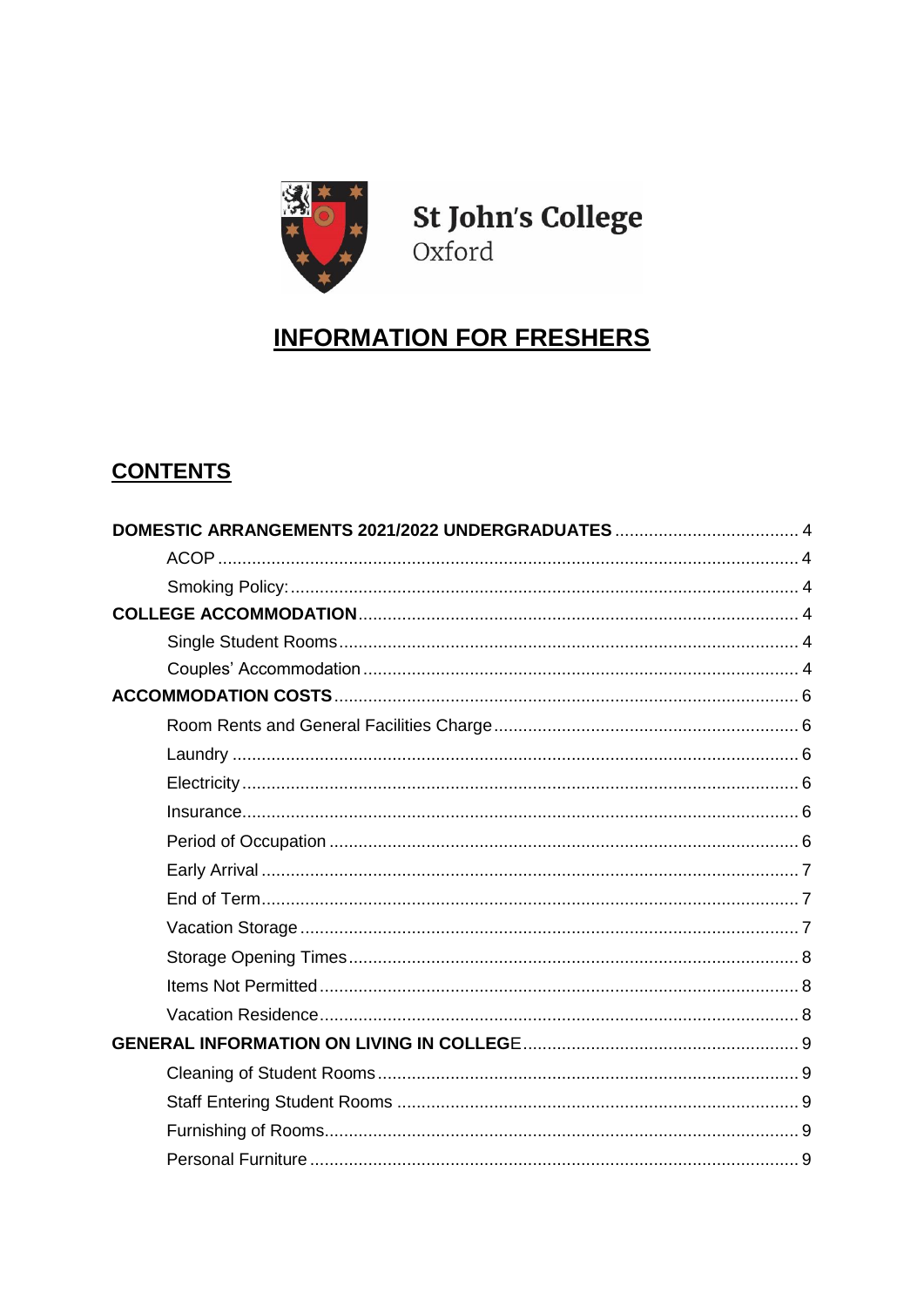

St John's College Oxford

# **INFORMATION FOR FRESHERS**

# **CONTENTS**

| DOMESTIC ARRANGEMENTS 2021/2022 UNDERGRADUATES  4 |  |
|---------------------------------------------------|--|
|                                                   |  |
|                                                   |  |
|                                                   |  |
|                                                   |  |
|                                                   |  |
|                                                   |  |
|                                                   |  |
|                                                   |  |
|                                                   |  |
|                                                   |  |
|                                                   |  |
|                                                   |  |
|                                                   |  |
|                                                   |  |
|                                                   |  |
|                                                   |  |
|                                                   |  |
|                                                   |  |
|                                                   |  |
|                                                   |  |
|                                                   |  |
|                                                   |  |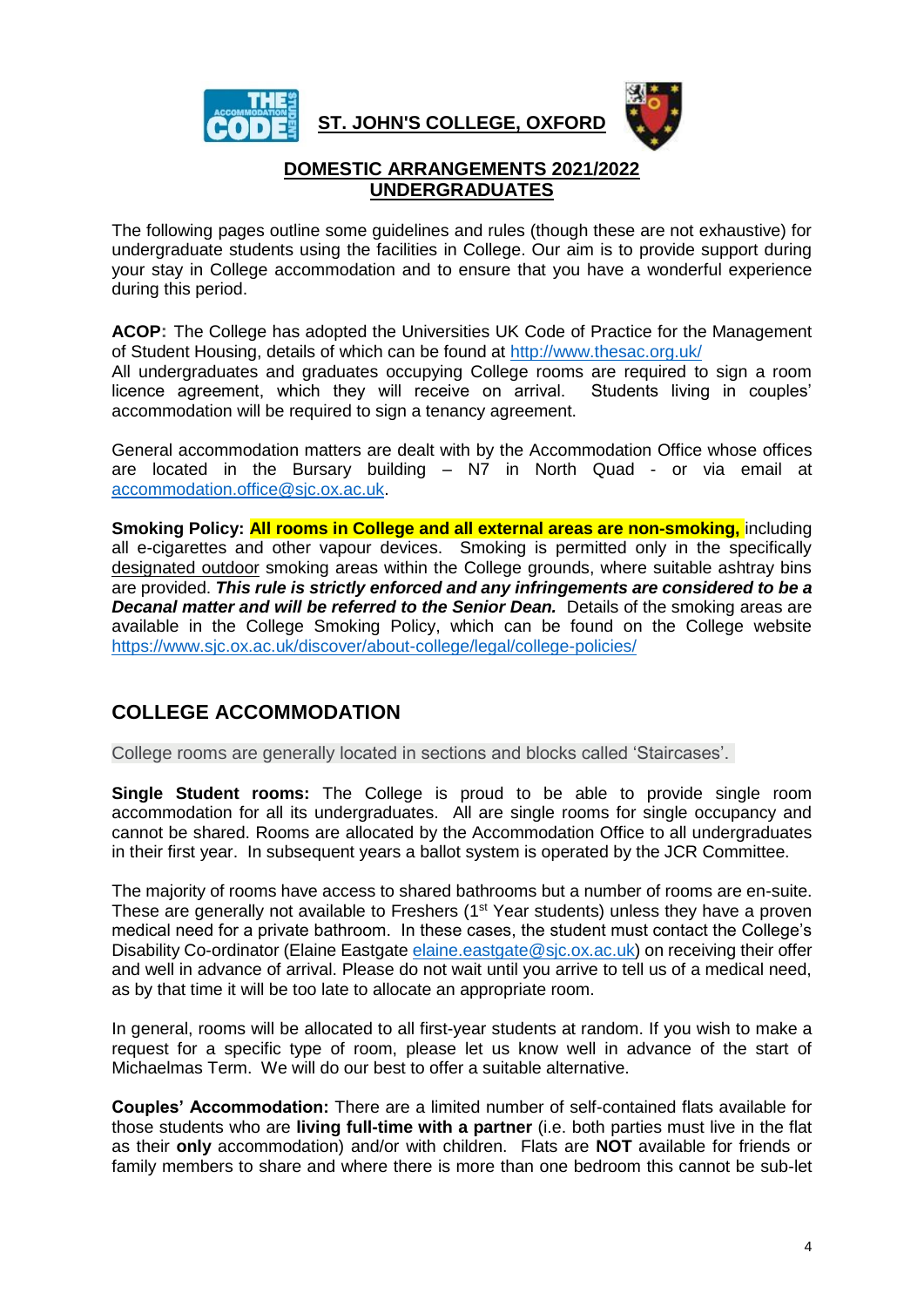

**ST. JOHN'S COLLEGE, OXFORD**



# **DOMESTIC ARRANGEMENTS 2021/2022 UNDERGRADUATES**

<span id="page-3-0"></span>The following pages outline some guidelines and rules (though these are not exhaustive) for undergraduate students using the facilities in College. Our aim is to provide support during your stay in College accommodation and to ensure that you have a wonderful experience during this period.

<span id="page-3-1"></span>**ACOP:** The College has adopted the Universities UK Code of Practice for the Management of Student Housing, details of which can be found at<http://www.thesac.org.uk/>

All undergraduates and graduates occupying College rooms are required to sign a room licence agreement, which they will receive on arrival. Students living in couples' accommodation will be required to sign a tenancy agreement.

General accommodation matters are dealt with by the Accommodation Office whose offices are located in the Bursary building – N7 in North Quad - or via email at [accommodation.office@sjc.ox.ac.uk.](mailto:accommodation.office@sjc.ox.ac.uk)

<span id="page-3-2"></span>**Smoking Policy: All rooms in College and all external areas are non-smoking,** including all e-cigarettes and other vapour devices. Smoking is permitted only in the specifically designated outdoor smoking areas within the College grounds, where suitable ashtray bins are provided. *This rule is strictly enforced and any infringements are considered to be a Decanal matter and will be referred to the Senior Dean.* Details of the smoking areas are available in the College Smoking Policy, which can be found on the College website <https://www.sjc.ox.ac.uk/discover/about-college/legal/college-policies/>

# <span id="page-3-3"></span>**COLLEGE ACCOMMODATION**

College rooms are generally located in sections and blocks called 'Staircases'.

<span id="page-3-4"></span>**Single Student rooms:** The College is proud to be able to provide single room accommodation for all its undergraduates. All are single rooms for single occupancy and cannot be shared. Rooms are allocated by the Accommodation Office to all undergraduates in their first year. In subsequent years a ballot system is operated by the JCR Committee.

The majority of rooms have access to shared bathrooms but a number of rooms are en-suite. These are generally not available to Freshers  $(1<sup>st</sup> Year students)$  unless they have a proven medical need for a private bathroom. In these cases, the student must contact the College's Disability Co-ordinator (Elaine Eastgate [elaine.eastgate@sjc.ox.ac.uk\)](mailto:elaine.eastgate@sjc.ox.ac.uk) on receiving their offer and well in advance of arrival. Please do not wait until you arrive to tell us of a medical need, as by that time it will be too late to allocate an appropriate room.

In general, rooms will be allocated to all first-year students at random. If you wish to make a request for a specific type of room, please let us know well in advance of the start of Michaelmas Term. We will do our best to offer a suitable alternative.

<span id="page-3-5"></span>**Couples' Accommodation:** There are a limited number of self-contained flats available for those students who are **living full-time with a partner** (i.e. both parties must live in the flat as their **only** accommodation) and/or with children. Flats are **NOT** available for friends or family members to share and where there is more than one bedroom this cannot be sub-let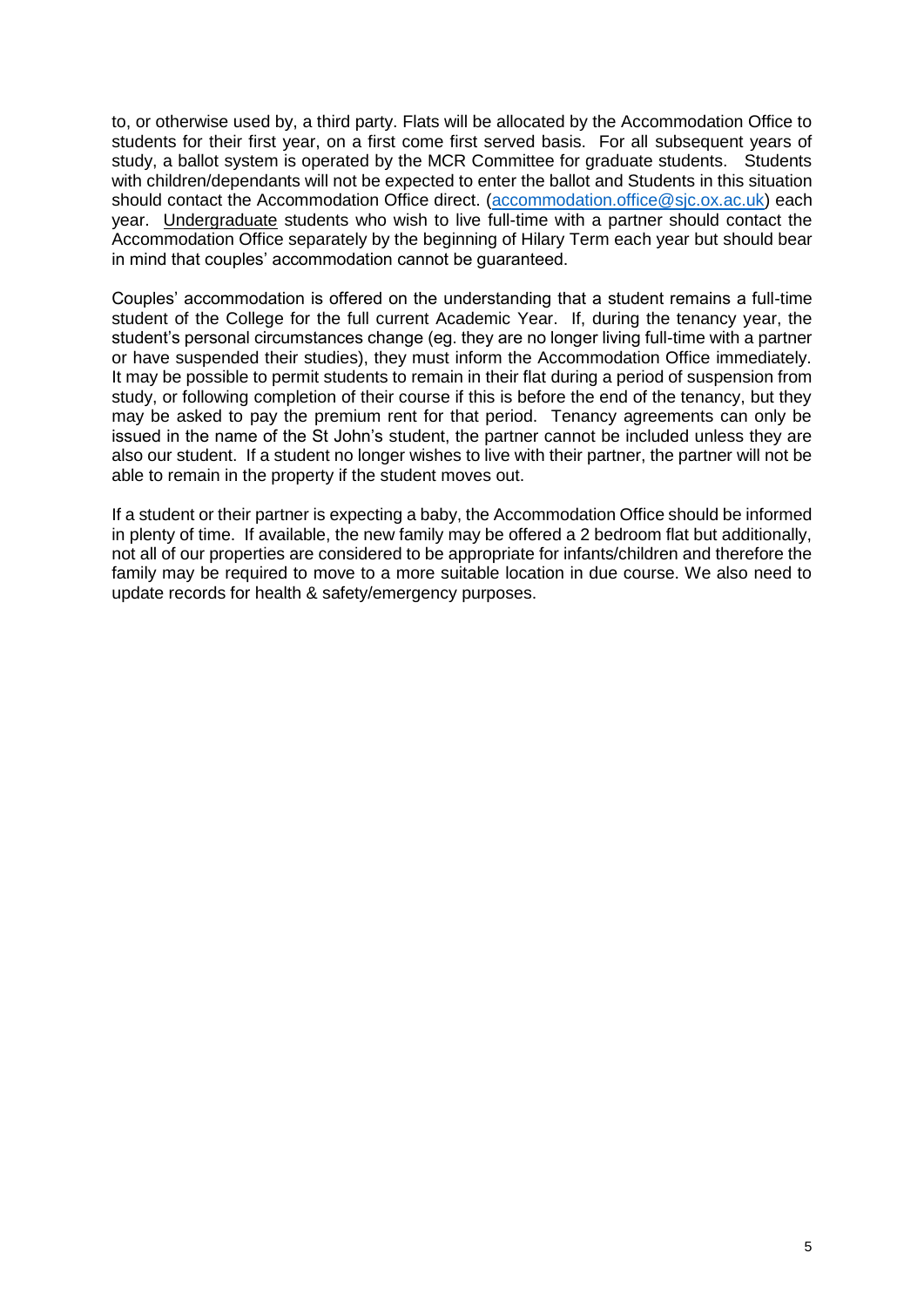to, or otherwise used by, a third party. Flats will be allocated by the Accommodation Office to students for their first year, on a first come first served basis. For all subsequent years of study, a ballot system is operated by the MCR Committee for graduate students. Students with children/dependants will not be expected to enter the ballot and Students in this situation should contact the Accommodation Office direct. [\(accommodation.office@sjc.ox.ac.uk\)](mailto:accommodation.office@sjc.ox.ac.uk) each year. Undergraduate students who wish to live full-time with a partner should contact the Accommodation Office separately by the beginning of Hilary Term each year but should bear in mind that couples' accommodation cannot be guaranteed.

Couples' accommodation is offered on the understanding that a student remains a full-time student of the College for the full current Academic Year. If, during the tenancy year, the student's personal circumstances change (eg. they are no longer living full-time with a partner or have suspended their studies), they must inform the Accommodation Office immediately. It may be possible to permit students to remain in their flat during a period of suspension from study, or following completion of their course if this is before the end of the tenancy, but they may be asked to pay the premium rent for that period. Tenancy agreements can only be issued in the name of the St John's student, the partner cannot be included unless they are also our student. If a student no longer wishes to live with their partner, the partner will not be able to remain in the property if the student moves out.

If a student or their partner is expecting a baby, the Accommodation Office should be informed in plenty of time. If available, the new family may be offered a 2 bedroom flat but additionally, not all of our properties are considered to be appropriate for infants/children and therefore the family may be required to move to a more suitable location in due course. We also need to update records for health & safety/emergency purposes.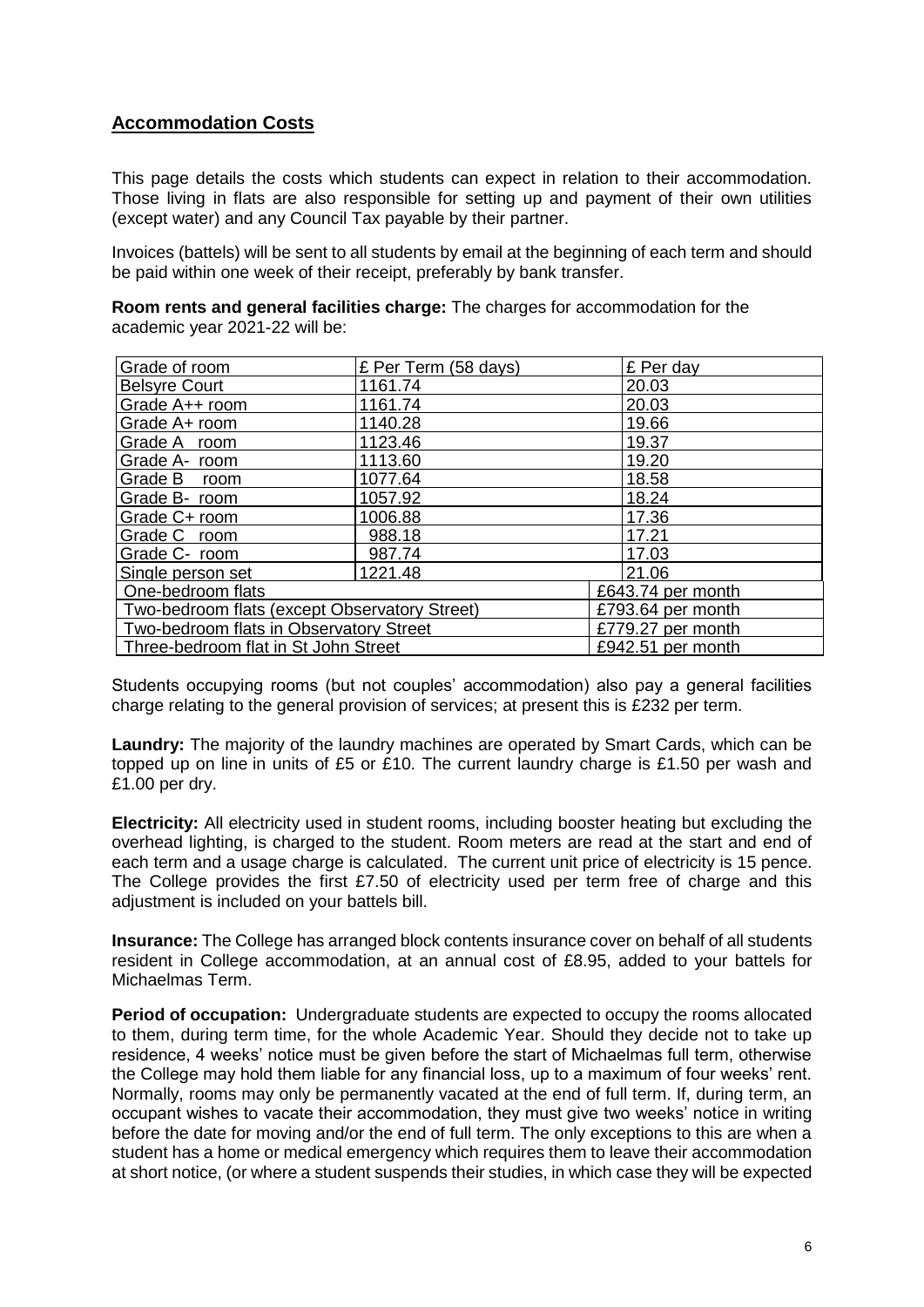# <span id="page-5-0"></span>**Accommodation Costs**

This page details the costs which students can expect in relation to their accommodation. Those living in flats are also responsible for setting up and payment of their own utilities (except water) and any Council Tax payable by their partner.

Invoices (battels) will be sent to all students by email at the beginning of each term and should be paid within one week of their receipt, preferably by bank transfer.

<span id="page-5-1"></span>**Room rents and general facilities charge:** The charges for accommodation for the academic year 2021-22 will be:

| Grade of room                                 | £ Per Term (58 days) | £ Per day         |
|-----------------------------------------------|----------------------|-------------------|
| <b>Belsyre Court</b>                          | 1161.74              | 20.03             |
| Grade A++ room                                | 1161.74              | 20.03             |
| Grade A+ room                                 | 1140.28              | 19.66             |
| Grade A room                                  | 1123.46              | 19.37             |
| Grade A- room                                 | 1113.60              | 19.20             |
| Grade B room                                  | 1077.64              | 18.58             |
| Grade B- room                                 | 1057.92              | 18.24             |
| Grade C+ room                                 | 1006.88              | 17.36             |
| Grade C room                                  | 988.18               | 17.21             |
| Grade C- room                                 | 987.74               | 17.03             |
| Single person set                             | 1221.48              | 21.06             |
| One-bedroom flats                             |                      | £643.74 per month |
| Two-bedroom flats (except Observatory Street) |                      | £793.64 per month |
| Two-bedroom flats in Observatory Street       |                      | £779.27 per month |
| Three-bedroom flat in St John Street          |                      | £942.51 per month |

Students occupying rooms (but not couples' accommodation) also pay a general facilities charge relating to the general provision of services; at present this is £232 per term.

<span id="page-5-2"></span>**Laundry:** The majority of the laundry machines are operated by Smart Cards, which can be topped up on line in units of £5 or £10. The current laundry charge is £1.50 per wash and £1.00 per dry.

<span id="page-5-3"></span>**Electricity:** All electricity used in student rooms, including booster heating but excluding the overhead lighting, is charged to the student. Room meters are read at the start and end of each term and a usage charge is calculated. The current unit price of electricity is 15 pence. The College provides the first £7.50 of electricity used per term free of charge and this adjustment is included on your battels bill.

<span id="page-5-4"></span>**Insurance:** The College has arranged block contents insurance cover on behalf of all students resident in College accommodation, at an annual cost of £8.95, added to your battels for Michaelmas Term.

<span id="page-5-5"></span>**Period of occupation:** Undergraduate students are expected to occupy the rooms allocated to them, during term time, for the whole Academic Year. Should they decide not to take up residence, 4 weeks' notice must be given before the start of Michaelmas full term, otherwise the College may hold them liable for any financial loss, up to a maximum of four weeks' rent. Normally, rooms may only be permanently vacated at the end of full term. If, during term, an occupant wishes to vacate their accommodation, they must give two weeks' notice in writing before the date for moving and/or the end of full term. The only exceptions to this are when a student has a home or medical emergency which requires them to leave their accommodation at short notice, (or where a student suspends their studies, in which case they will be expected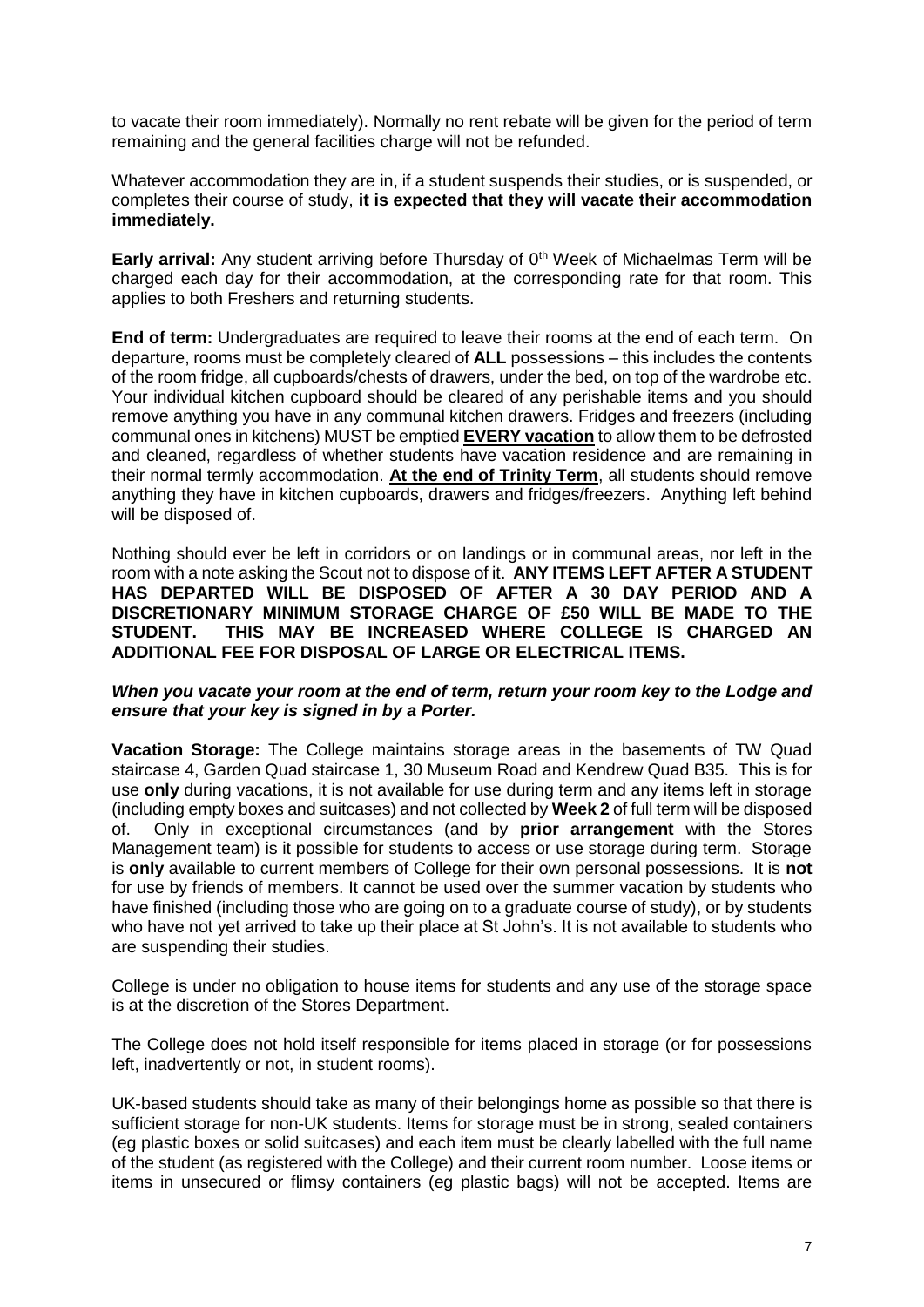to vacate their room immediately). Normally no rent rebate will be given for the period of term remaining and the general facilities charge will not be refunded.

Whatever accommodation they are in, if a student suspends their studies, or is suspended, or completes their course of study, **it is expected that they will vacate their accommodation immediately.** 

<span id="page-6-0"></span>**Early arrival:** Any student arriving before Thursday of 0<sup>th</sup> Week of Michaelmas Term will be charged each day for their accommodation, at the corresponding rate for that room. This applies to both Freshers and returning students.

<span id="page-6-1"></span>**End of term:** Undergraduates are required to leave their rooms at the end of each term. On departure, rooms must be completely cleared of **ALL** possessions – this includes the contents of the room fridge, all cupboards/chests of drawers, under the bed, on top of the wardrobe etc. Your individual kitchen cupboard should be cleared of any perishable items and you should remove anything you have in any communal kitchen drawers. Fridges and freezers (including communal ones in kitchens) MUST be emptied **EVERY vacation** to allow them to be defrosted and cleaned, regardless of whether students have vacation residence and are remaining in their normal termly accommodation. **At the end of Trinity Term**, all students should remove anything they have in kitchen cupboards, drawers and fridges/freezers. Anything left behind will be disposed of.

Nothing should ever be left in corridors or on landings or in communal areas, nor left in the room with a note asking the Scout not to dispose of it. **ANY ITEMS LEFT AFTER A STUDENT HAS DEPARTED WILL BE DISPOSED OF AFTER A 30 DAY PERIOD AND A DISCRETIONARY MINIMUM STORAGE CHARGE OF £50 WILL BE MADE TO THE STUDENT. THIS MAY BE INCREASED WHERE COLLEGE IS CHARGED AN ADDITIONAL FEE FOR DISPOSAL OF LARGE OR ELECTRICAL ITEMS.**

#### *When you vacate your room at the end of term, return your room key to the Lodge and ensure that your key is signed in by a Porter.*

<span id="page-6-2"></span>**Vacation Storage:** The College maintains storage areas in the basements of TW Quad staircase 4, Garden Quad staircase 1, 30 Museum Road and Kendrew Quad B35. This is for use **only** during vacations, it is not available for use during term and any items left in storage (including empty boxes and suitcases) and not collected by **Week 2** of full term will be disposed of. Only in exceptional circumstances (and by **prior arrangement** with the Stores Management team) is it possible for students to access or use storage during term. Storage is **only** available to current members of College for their own personal possessions. It is **not**  for use by friends of members. It cannot be used over the summer vacation by students who have finished (including those who are going on to a graduate course of study), or by students who have not yet arrived to take up their place at St John's. It is not available to students who are suspending their studies.

College is under no obligation to house items for students and any use of the storage space is at the discretion of the Stores Department.

The College does not hold itself responsible for items placed in storage (or for possessions left, inadvertently or not, in student rooms).

UK-based students should take as many of their belongings home as possible so that there is sufficient storage for non-UK students. Items for storage must be in strong, sealed containers (eg plastic boxes or solid suitcases) and each item must be clearly labelled with the full name of the student (as registered with the College) and their current room number. Loose items or items in unsecured or flimsy containers (eg plastic bags) will not be accepted. Items are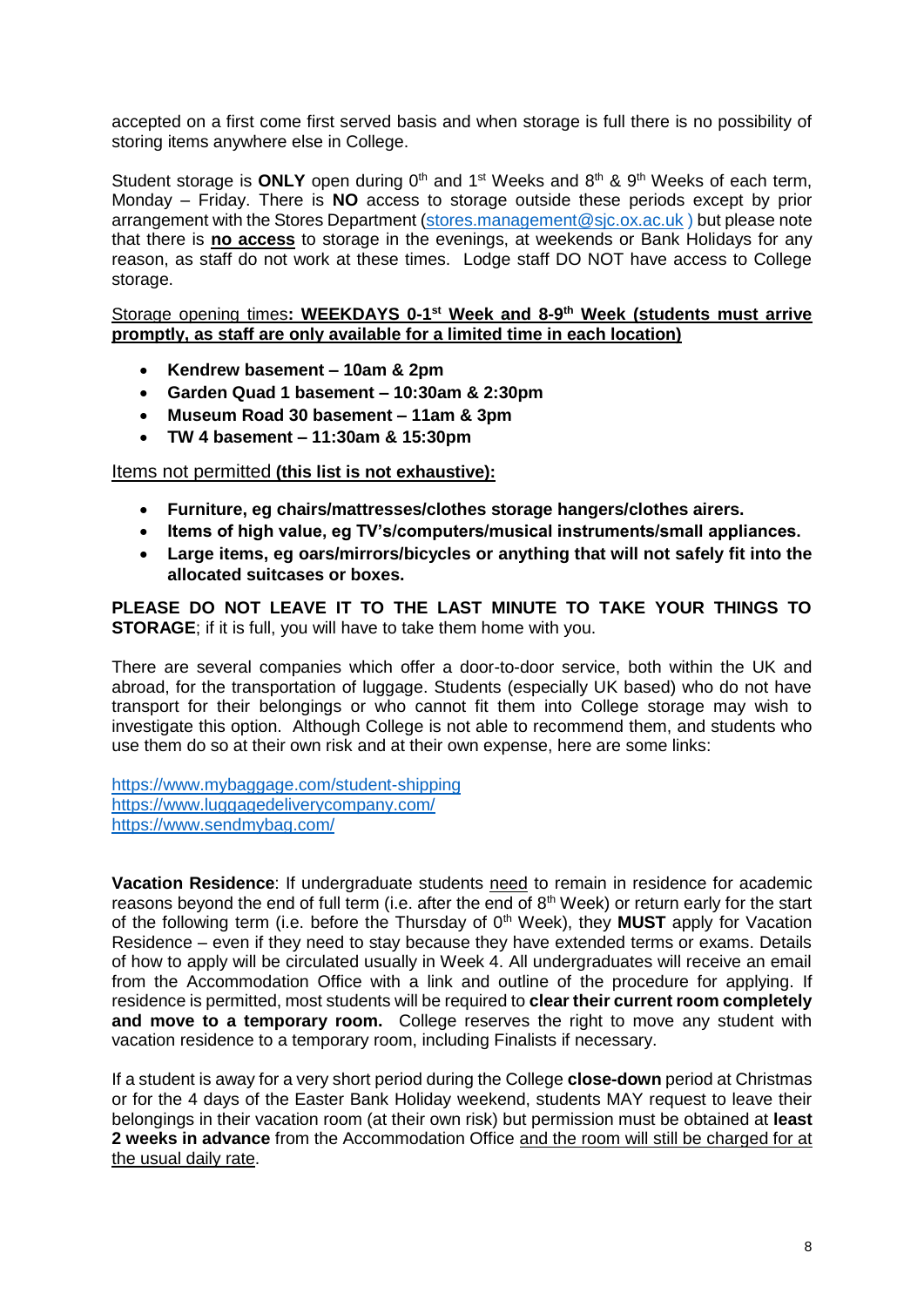accepted on a first come first served basis and when storage is full there is no possibility of storing items anywhere else in College.

Student storage is **ONLY** open during 0<sup>th</sup> and 1<sup>st</sup> Weeks and 8<sup>th</sup> & 9<sup>th</sup> Weeks of each term, Monday – Friday. There is **NO** access to storage outside these periods except by prior arrangement with the Stores Department [\(stores.management@sjc.ox.ac.uk](mailto:stores.management@sjc.ox.ac.uk)) but please note that there is **no access** to storage in the evenings, at weekends or Bank Holidays for any reason, as staff do not work at these times. Lodge staff DO NOT have access to College storage.

#### <span id="page-7-0"></span>Storage opening times: WEEKDAYS 0-1<sup>st</sup> Week and 8-9<sup>th</sup> Week (students must arrive **promptly, as staff are only available for a limited time in each location)**

- **Kendrew basement – 10am & 2pm**
- **Garden Quad 1 basement – 10:30am & 2:30pm**
- **Museum Road 30 basement – 11am & 3pm**
- **TW 4 basement – 11:30am & 15:30pm**

## <span id="page-7-1"></span>Items not permitted **(this list is not exhaustive):**

- **Furniture, eg chairs/mattresses/clothes storage hangers/clothes airers.**
- **Items of high value, eg TV's/computers/musical instruments/small appliances.**
- **Large items, eg oars/mirrors/bicycles or anything that will not safely fit into the allocated suitcases or boxes.**

## **PLEASE DO NOT LEAVE IT TO THE LAST MINUTE TO TAKE YOUR THINGS TO STORAGE**; if it is full, you will have to take them home with you.

There are several companies which offer a door-to-door service, both within the UK and abroad, for the transportation of luggage. Students (especially UK based) who do not have transport for their belongings or who cannot fit them into College storage may wish to investigate this option. Although College is not able to recommend them, and students who use them do so at their own risk and at their own expense, here are some links:

<https://www.mybaggage.com/student-shipping> [https://www.luggagedeliverycompany.com/](https://www.luggagedeliverycompany.com/?gclid=EAIaIQobChMIz9Pj5rL_4AIVkK_ICh1K8wZCEAAYAyAAEgI8TPD_BwE) <https://www.sendmybag.com/>

<span id="page-7-2"></span>**Vacation Residence**: If undergraduate students need to remain in residence for academic reasons beyond the end of full term (i.e. after the end of 8<sup>th</sup> Week) or return early for the start of the following term (i.e. before the Thursday of 0<sup>th</sup> Week), they **MUST** apply for Vacation Residence – even if they need to stay because they have extended terms or exams. Details of how to apply will be circulated usually in Week 4. All undergraduates will receive an email from the Accommodation Office with a link and outline of the procedure for applying. If residence is permitted, most students will be required to **clear their current room completely and move to a temporary room.** College reserves the right to move any student with vacation residence to a temporary room, including Finalists if necessary.

If a student is away for a very short period during the College **close-down** period at Christmas or for the 4 days of the Easter Bank Holiday weekend, students MAY request to leave their belongings in their vacation room (at their own risk) but permission must be obtained at **least 2 weeks in advance** from the Accommodation Office and the room will still be charged for at the usual daily rate.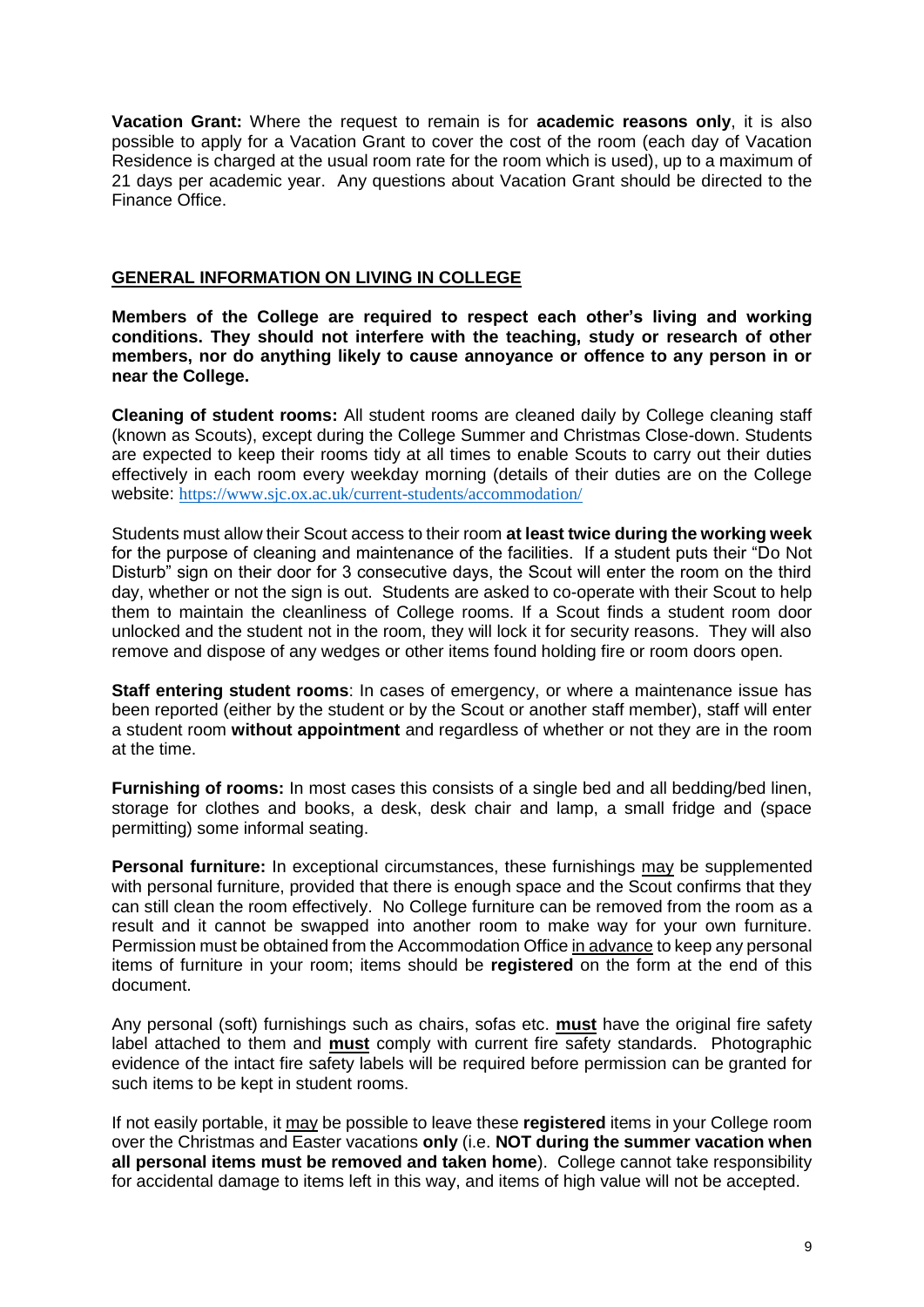**Vacation Grant:** Where the request to remain is for **academic reasons only**, it is also possible to apply for a Vacation Grant to cover the cost of the room (each day of Vacation Residence is charged at the usual room rate for the room which is used), up to a maximum of 21 days per academic year. Any questions about Vacation Grant should be directed to the Finance Office.

### <span id="page-8-0"></span>**GENERAL INFORMATION ON LIVING IN COLLEGE**

**Members of the College are required to respect each other's living and working conditions. They should not interfere with the teaching, study or research of other members, nor do anything likely to cause annoyance or offence to any person in or near the College.**

<span id="page-8-1"></span>**Cleaning of student rooms:** All student rooms are cleaned daily by College cleaning staff (known as Scouts), except during the College Summer and Christmas Close-down. Students are expected to keep their rooms tidy at all times to enable Scouts to carry out their duties effectively in each room every weekday morning (details of their duties are on the College website: <https://www.sjc.ox.ac.uk/current-students/accommodation/>

Students must allow their Scout access to their room **at least twice during the working week**  for the purpose of cleaning and maintenance of the facilities. If a student puts their "Do Not Disturb" sign on their door for 3 consecutive days, the Scout will enter the room on the third day, whether or not the sign is out. Students are asked to co-operate with their Scout to help them to maintain the cleanliness of College rooms. If a Scout finds a student room door unlocked and the student not in the room, they will lock it for security reasons. They will also remove and dispose of any wedges or other items found holding fire or room doors open.

<span id="page-8-2"></span>**Staff entering student rooms:** In cases of emergency, or where a maintenance issue has been reported (either by the student or by the Scout or another staff member), staff will enter a student room **without appointment** and regardless of whether or not they are in the room at the time.

<span id="page-8-3"></span>**Furnishing of rooms:** In most cases this consists of a single bed and all bedding/bed linen, storage for clothes and books, a desk, desk chair and lamp, a small fridge and (space permitting) some informal seating.

<span id="page-8-4"></span>**Personal furniture:** In exceptional circumstances, these furnishings may be supplemented with personal furniture, provided that there is enough space and the Scout confirms that they can still clean the room effectively. No College furniture can be removed from the room as a result and it cannot be swapped into another room to make way for your own furniture. Permission must be obtained from the Accommodation Office in advance to keep any personal items of furniture in your room; items should be **registered** on the form at the end of this document.

Any personal (soft) furnishings such as chairs, sofas etc. **must** have the original fire safety label attached to them and **must** comply with current fire safety standards. Photographic evidence of the intact fire safety labels will be required before permission can be granted for such items to be kept in student rooms.

If not easily portable, it may be possible to leave these **registered** items in your College room over the Christmas and Easter vacations **only** (i.e. **NOT during the summer vacation when all personal items must be removed and taken home**). College cannot take responsibility for accidental damage to items left in this way, and items of high value will not be accepted.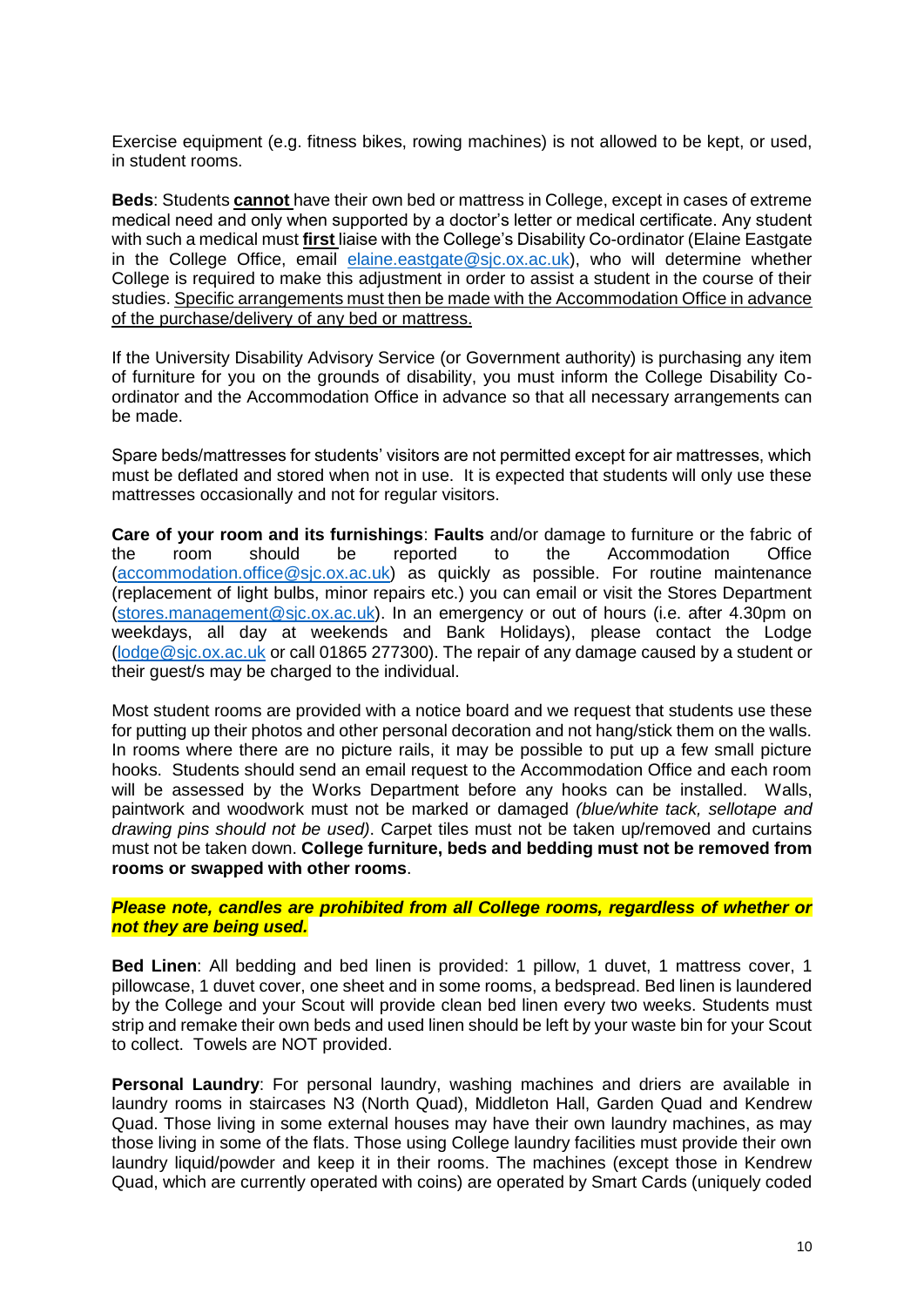Exercise equipment (e.g. fitness bikes, rowing machines) is not allowed to be kept, or used, in student rooms.

<span id="page-9-0"></span>**Beds**: Students **cannot** have their own bed or mattress in College, except in cases of extreme medical need and only when supported by a doctor's letter or medical certificate. Any student with such a medical must **first** liaise with the College's Disability Co-ordinator (Elaine Eastgate in the College Office, email [elaine.eastgate@sjc.ox.ac.uk\)](mailto:elaine.eastgate@sjc.ox.ac.uk), who will determine whether College is required to make this adjustment in order to assist a student in the course of their studies. Specific arrangements must then be made with the Accommodation Office in advance of the purchase/delivery of any bed or mattress.

If the University Disability Advisory Service (or Government authority) is purchasing any item of furniture for you on the grounds of disability, you must inform the College Disability Coordinator and the Accommodation Office in advance so that all necessary arrangements can be made.

Spare beds/mattresses for students' visitors are not permitted except for air mattresses, which must be deflated and stored when not in use. It is expected that students will only use these mattresses occasionally and not for regular visitors.

<span id="page-9-1"></span>**Care of your room and its furnishings**: **Faults** and/or damage to furniture or the fabric of the room should be reported to the Accommodation Office [\(accommodation.office@sjc.ox.ac.uk\)](mailto:accommodation.office@sjc.ox.ac.uk) as quickly as possible. For routine maintenance (replacement of light bulbs, minor repairs etc.) you can email or visit the Stores Department [\(stores.management@sjc.ox.ac.uk\)](mailto:stores.management@sjc.ox.ac.uk). In an emergency or out of hours (i.e. after 4.30pm on weekdays, all day at weekends and Bank Holidays), please contact the Lodge [\(lodge@sjc.ox.ac.uk](mailto:lodge@sjc.ox.ac.uk) or call 01865 277300). The repair of any damage caused by a student or their guest/s may be charged to the individual.

Most student rooms are provided with a notice board and we request that students use these for putting up their photos and other personal decoration and not hang/stick them on the walls. In rooms where there are no picture rails, it may be possible to put up a few small picture hooks. Students should send an email request to the Accommodation Office and each room will be assessed by the Works Department before any hooks can be installed. Walls, paintwork and woodwork must not be marked or damaged *(blue/white tack, sellotape and drawing pins should not be used)*. Carpet tiles must not be taken up/removed and curtains must not be taken down. **College furniture, beds and bedding must not be removed from rooms or swapped with other rooms**.

*Please note, candles are prohibited from all College rooms, regardless of whether or not they are being used.* 

<span id="page-9-2"></span>**Bed Linen**: All bedding and bed linen is provided: 1 pillow, 1 duvet, 1 mattress cover, 1 pillowcase, 1 duvet cover, one sheet and in some rooms, a bedspread. Bed linen is laundered by the College and your Scout will provide clean bed linen every two weeks. Students must strip and remake their own beds and used linen should be left by your waste bin for your Scout to collect. Towels are NOT provided.

<span id="page-9-3"></span>**Personal Laundry:** For personal laundry, washing machines and driers are available in laundry rooms in staircases N3 (North Quad), Middleton Hall, Garden Quad and Kendrew Quad. Those living in some external houses may have their own laundry machines, as may those living in some of the flats. Those using College laundry facilities must provide their own laundry liquid/powder and keep it in their rooms. The machines (except those in Kendrew Quad, which are currently operated with coins) are operated by Smart Cards (uniquely coded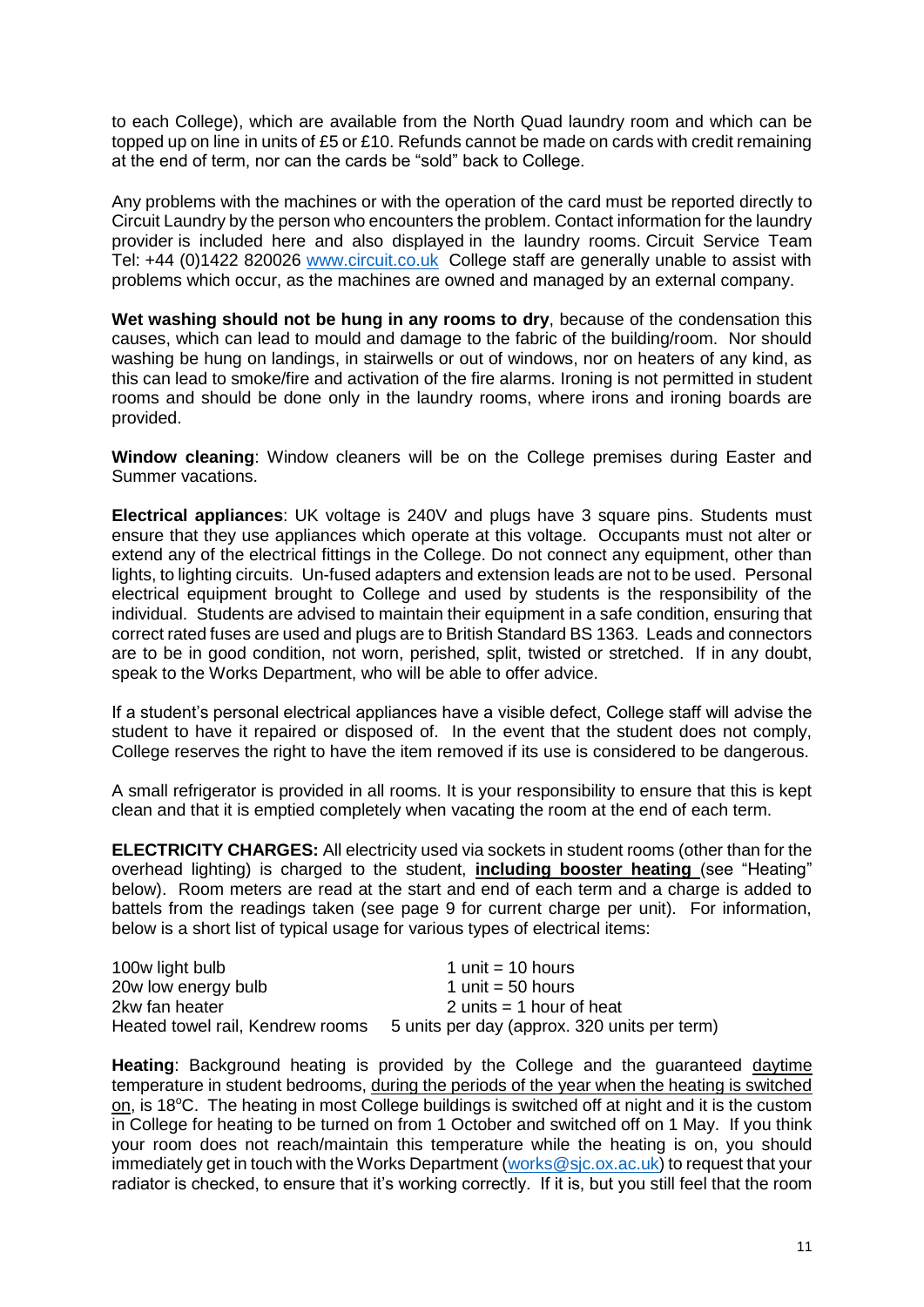to each College), which are available from the North Quad laundry room and which can be topped up on line in units of £5 or £10. Refunds cannot be made on cards with credit remaining at the end of term, nor can the cards be "sold" back to College.

Any problems with the machines or with the operation of the card must be reported directly to Circuit Laundry by the person who encounters the problem. Contact information for the laundry provider is included here and also displayed in the laundry rooms. Circuit Service Team Tel: +44 (0)1422 820026 [www.circuit.co.uk](http://www.circuit.co.uk/) College staff are generally unable to assist with problems which occur, as the machines are owned and managed by an external company.

**Wet washing should not be hung in any rooms to dry**, because of the condensation this causes, which can lead to mould and damage to the fabric of the building/room. Nor should washing be hung on landings, in stairwells or out of windows, nor on heaters of any kind, as this can lead to smoke/fire and activation of the fire alarms. Ironing is not permitted in student rooms and should be done only in the laundry rooms, where irons and ironing boards are provided.

<span id="page-10-0"></span>**Window cleaning**: Window cleaners will be on the College premises during Easter and Summer vacations.

<span id="page-10-1"></span>**Electrical appliances**: UK voltage is 240V and plugs have 3 square pins. Students must ensure that they use appliances which operate at this voltage. Occupants must not alter or extend any of the electrical fittings in the College. Do not connect any equipment, other than lights, to lighting circuits. Un-fused adapters and extension leads are not to be used. Personal electrical equipment brought to College and used by students is the responsibility of the individual. Students are advised to maintain their equipment in a safe condition, ensuring that correct rated fuses are used and plugs are to British Standard BS 1363. Leads and connectors are to be in good condition, not worn, perished, split, twisted or stretched. If in any doubt, speak to the Works Department, who will be able to offer advice.

If a student's personal electrical appliances have a visible defect, College staff will advise the student to have it repaired or disposed of. In the event that the student does not comply, College reserves the right to have the item removed if its use is considered to be dangerous.

A small refrigerator is provided in all rooms. It is your responsibility to ensure that this is kept clean and that it is emptied completely when vacating the room at the end of each term.

<span id="page-10-2"></span>**ELECTRICITY CHARGES:** All electricity used via sockets in student rooms (other than for the overhead lighting) is charged to the student, **including booster heating** (see "Heating" below). Room meters are read at the start and end of each term and a charge is added to battels from the readings taken (see page 9 for current charge per unit). For information, below is a short list of typical usage for various types of electrical items:

| 100w light bulb     | 1 unit $=$ 10 hours                                                           |
|---------------------|-------------------------------------------------------------------------------|
| 20w low energy bulb | 1 unit = $50$ hours                                                           |
| 2kw fan heater      | 2 units $=$ 1 hour of heat                                                    |
|                     | Heated towel rail, Kendrew rooms 5 units per day (approx. 320 units per term) |

**Heating**: Background heating is provided by the College and the guaranteed daytime temperature in student bedrooms, during the periods of the year when the heating is switched on, is 18°C. The heating in most College buildings is switched off at night and it is the custom in College for heating to be turned on from 1 October and switched off on 1 May. If you think your room does not reach/maintain this temperature while the heating is on, you should immediately get in touch with the Works Department [\(works@sjc.ox.ac.uk\)](mailto:works@sjc.ox.ac.uk) to request that your radiator is checked, to ensure that it's working correctly. If it is, but you still feel that the room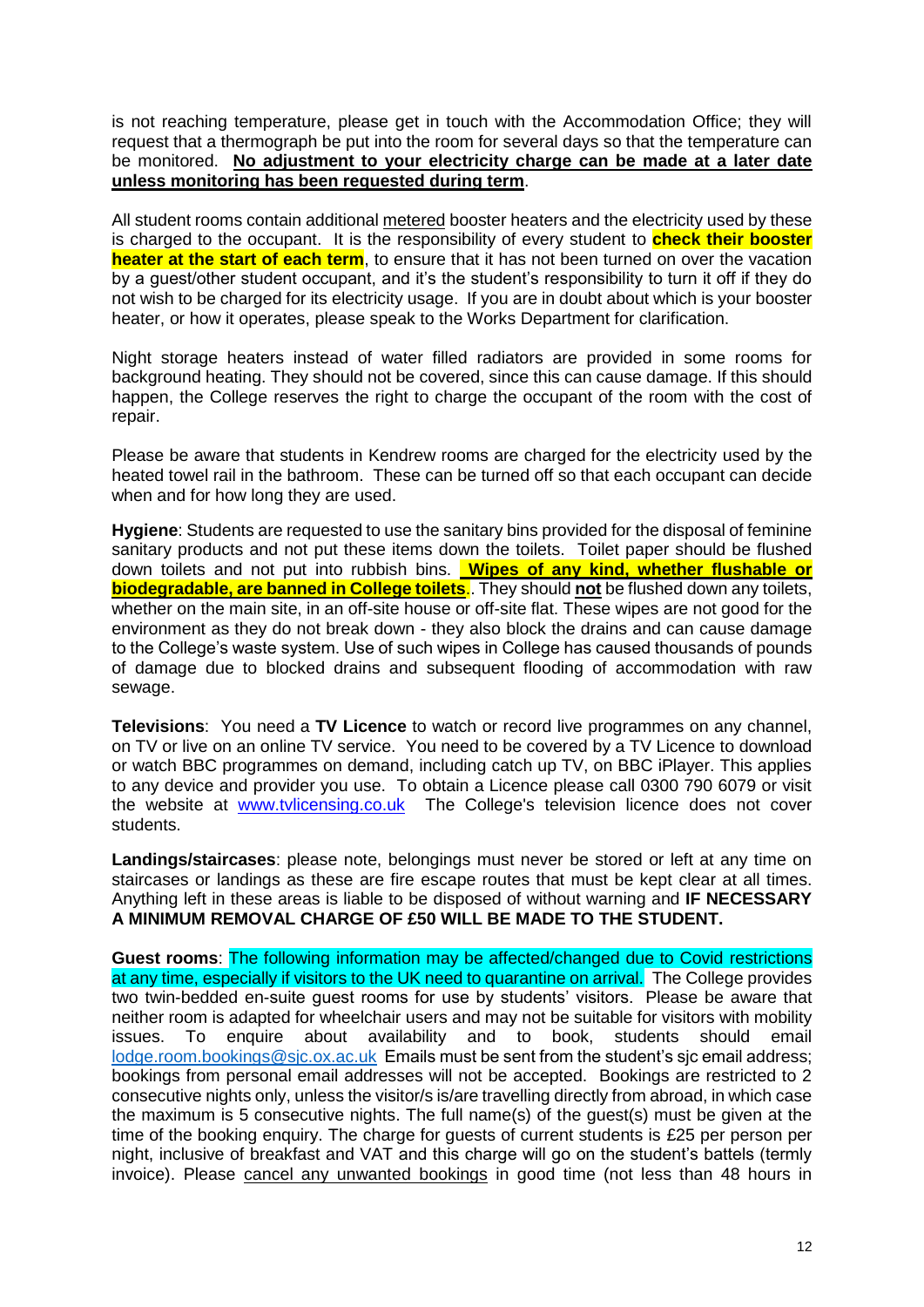is not reaching temperature, please get in touch with the Accommodation Office; they will request that a thermograph be put into the room for several days so that the temperature can be monitored. **No adjustment to your electricity charge can be made at a later date unless monitoring has been requested during term**.

All student rooms contain additional metered booster heaters and the electricity used by these is charged to the occupant. It is the responsibility of every student to **check their booster heater at the start of each term**, to ensure that it has not been turned on over the vacation by a guest/other student occupant, and it's the student's responsibility to turn it off if they do not wish to be charged for its electricity usage. If you are in doubt about which is your booster heater, or how it operates, please speak to the Works Department for clarification.

Night storage heaters instead of water filled radiators are provided in some rooms for background heating. They should not be covered, since this can cause damage. If this should happen, the College reserves the right to charge the occupant of the room with the cost of repair.

Please be aware that students in Kendrew rooms are charged for the electricity used by the heated towel rail in the bathroom. These can be turned off so that each occupant can decide when and for how long they are used.

<span id="page-11-0"></span>**Hygiene**: Students are requested to use the sanitary bins provided for the disposal of feminine sanitary products and not put these items down the toilets. Toilet paper should be flushed down toilets and not put into rubbish bins. **Wipes of any kind, whether flushable or biodegradable, are banned in College toilets**.. They should **not** be flushed down any toilets, whether on the main site, in an off-site house or off-site flat. These wipes are not good for the environment as they do not break down - they also block the drains and can cause damage to the College's waste system. Use of such wipes in College has caused thousands of pounds of damage due to blocked drains and subsequent flooding of accommodation with raw sewage.

<span id="page-11-1"></span>**Televisions**:You need a **TV Licence** to watch or record live programmes on any channel, on TV or live on an online TV service. You need to be covered by a TV Licence to download or watch BBC programmes on demand, including catch up TV, on BBC iPlayer. This applies to any device and provider you use. To obtain a Licence please call 0300 790 6079 or visit the website at [www.tvlicensing.co.uk](http://www.tvlicensing.co.uk/) The College's television licence does not cover students.

<span id="page-11-2"></span>**Landings/staircases**: please note, belongings must never be stored or left at any time on staircases or landings as these are fire escape routes that must be kept clear at all times. Anything left in these areas is liable to be disposed of without warning and **IF NECESSARY A MINIMUM REMOVAL CHARGE OF £50 WILL BE MADE TO THE STUDENT.** 

<span id="page-11-3"></span>**Guest rooms**: The following information may be affected/changed due to Covid restrictions at any time, especially if visitors to the UK need to quarantine on arrival. The College provides two twin-bedded en-suite guest rooms for use by students' visitors. Please be aware that neither room is adapted for wheelchair users and may not be suitable for visitors with mobility issues. To enquire about availability and to book, students should email [lodge.room.bookings@sjc.ox.ac.uk](mailto:lodge.room.bookings@sjc.ox.ac.uk) Emails must be sent from the student's sjc email address; bookings from personal email addresses will not be accepted. Bookings are restricted to 2 consecutive nights only, unless the visitor/s is/are travelling directly from abroad, in which case the maximum is 5 consecutive nights. The full name(s) of the guest(s) must be given at the time of the booking enquiry. The charge for guests of current students is £25 per person per night, inclusive of breakfast and VAT and this charge will go on the student's battels (termly invoice). Please cancel any unwanted bookings in good time (not less than 48 hours in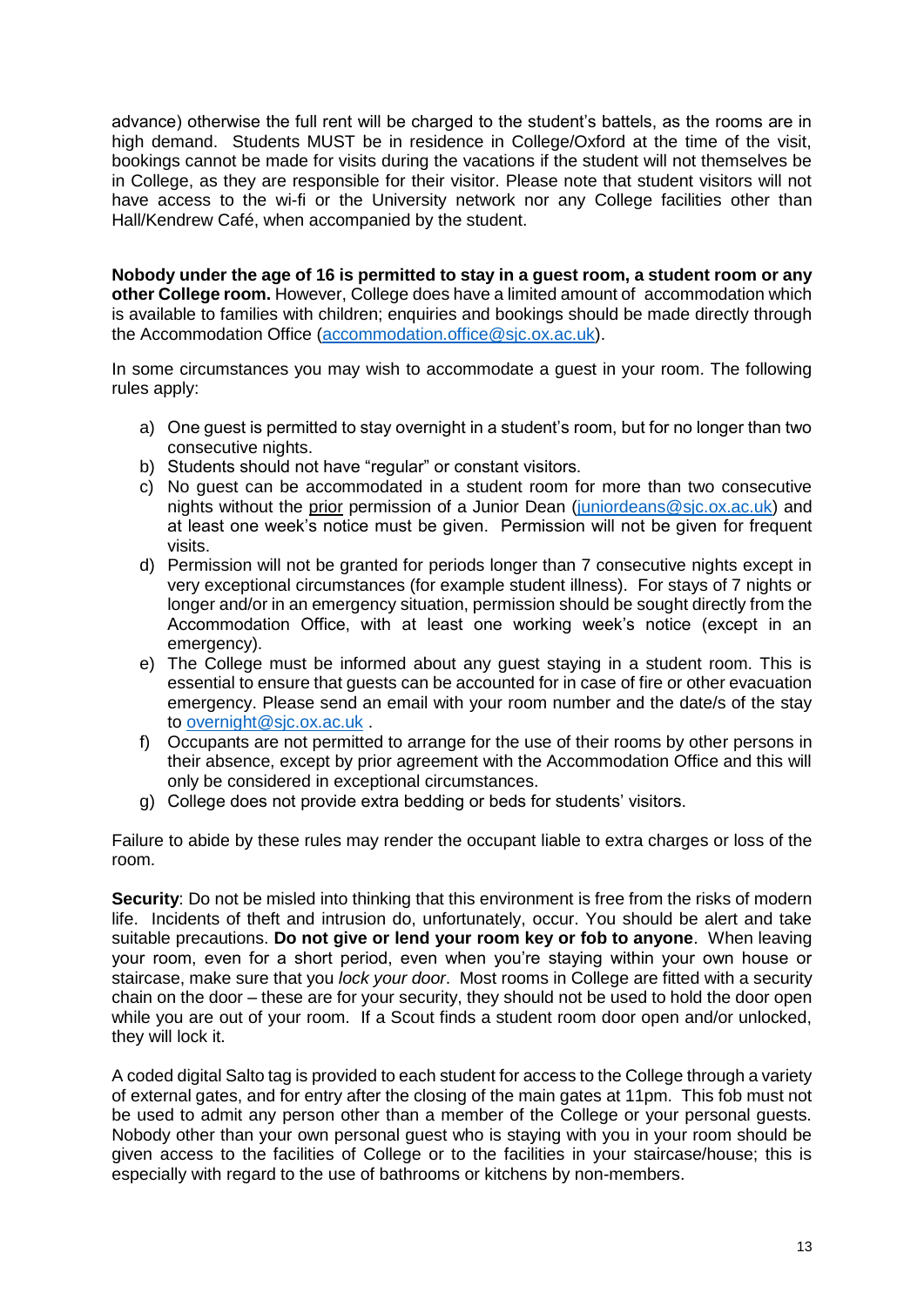advance) otherwise the full rent will be charged to the student's battels, as the rooms are in high demand. Students MUST be in residence in College/Oxford at the time of the visit, bookings cannot be made for visits during the vacations if the student will not themselves be in College, as they are responsible for their visitor. Please note that student visitors will not have access to the wi-fi or the University network nor any College facilities other than Hall/Kendrew Café, when accompanied by the student.

**Nobody under the age of 16 is permitted to stay in a guest room, a student room or any other College room.** However, College does have a limited amount of accommodation which is available to families with children; enquiries and bookings should be made directly through the Accommodation Office [\(accommodation.office@sjc.ox.ac.uk\)](mailto:accommodation.office@sjc.ox.ac.uk).

In some circumstances you may wish to accommodate a guest in your room. The following rules apply:

- a) One guest is permitted to stay overnight in a student's room, but for no longer than two consecutive nights.
- b) Students should not have "regular" or constant visitors.
- c) No guest can be accommodated in a student room for more than two consecutive nights without the prior permission of a Junior Dean [\(juniordeans@sjc.ox.ac.uk\)](mailto:juniordeans@sjc.ox.ac.uk) and at least one week's notice must be given. Permission will not be given for frequent visits.
- d) Permission will not be granted for periods longer than 7 consecutive nights except in very exceptional circumstances (for example student illness). For stays of 7 nights or longer and/or in an emergency situation, permission should be sought directly from the Accommodation Office, with at least one working week's notice (except in an emergency).
- e) The College must be informed about any guest staying in a student room. This is essential to ensure that guests can be accounted for in case of fire or other evacuation emergency. Please send an email with your room number and the date/s of the stay to [overnight@sjc.ox.ac.uk](mailto:overnight@sjc.ox.ac.uk) .
- f) Occupants are not permitted to arrange for the use of their rooms by other persons in their absence, except by prior agreement with the Accommodation Office and this will only be considered in exceptional circumstances.
- g) College does not provide extra bedding or beds for students' visitors.

Failure to abide by these rules may render the occupant liable to extra charges or loss of the room.

<span id="page-12-0"></span>**Security**: Do not be misled into thinking that this environment is free from the risks of modern life. Incidents of theft and intrusion do, unfortunately, occur. You should be alert and take suitable precautions. **Do not give or lend your room key or fob to anyone**. When leaving your room, even for a short period, even when you're staying within your own house or staircase, make sure that you *lock your door*. Most rooms in College are fitted with a security chain on the door – these are for your security, they should not be used to hold the door open while you are out of your room. If a Scout finds a student room door open and/or unlocked, they will lock it.

A coded digital Salto tag is provided to each student for access to the College through a variety of external gates, and for entry after the closing of the main gates at 11pm. This fob must not be used to admit any person other than a member of the College or your personal guests. Nobody other than your own personal guest who is staying with you in your room should be given access to the facilities of College or to the facilities in your staircase/house; this is especially with regard to the use of bathrooms or kitchens by non-members.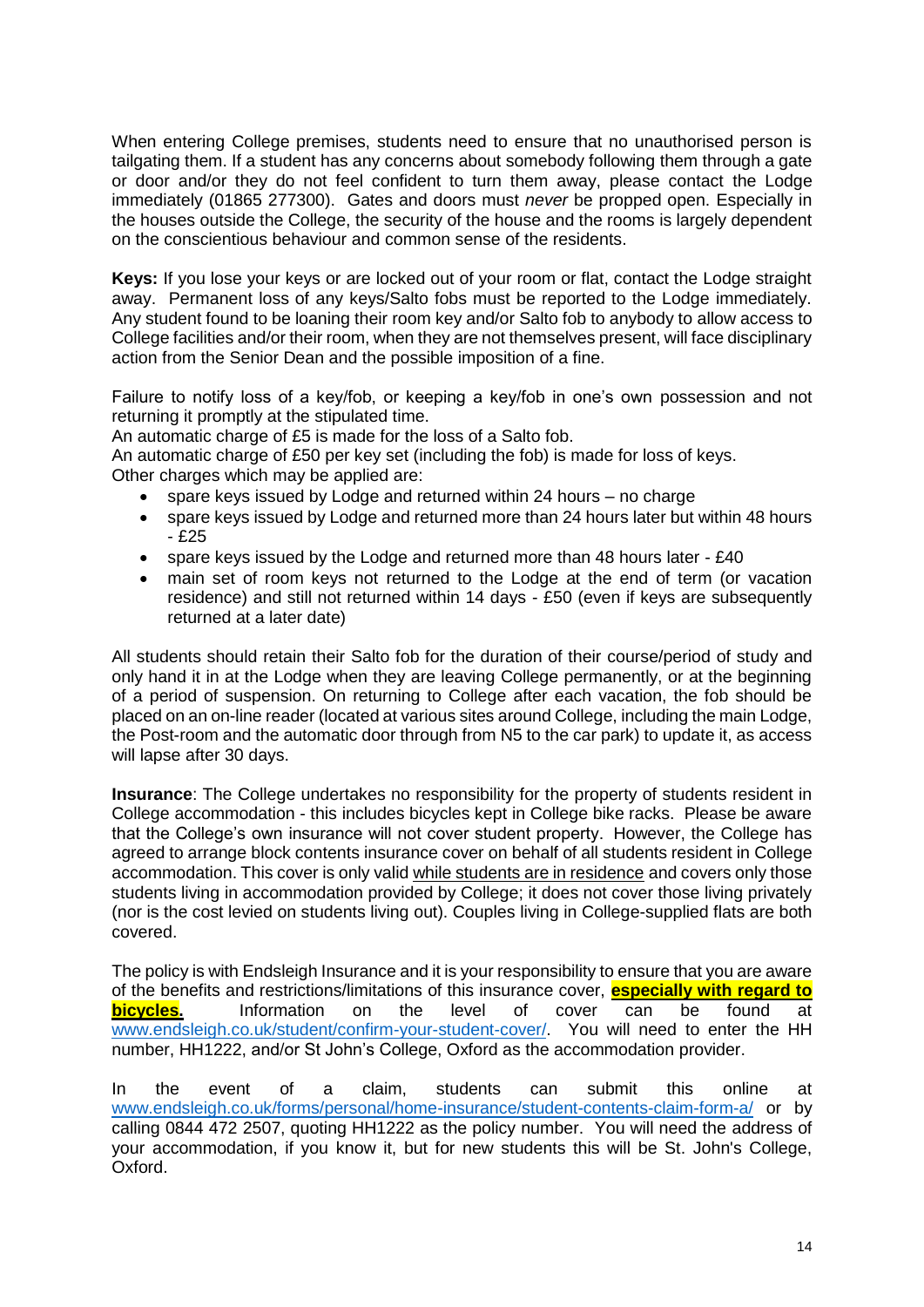When entering College premises, students need to ensure that no unauthorised person is tailgating them. If a student has any concerns about somebody following them through a gate or door and/or they do not feel confident to turn them away, please contact the Lodge immediately (01865 277300). Gates and doors must *never* be propped open. Especially in the houses outside the College, the security of the house and the rooms is largely dependent on the conscientious behaviour and common sense of the residents.

<span id="page-13-0"></span>**Keys:** If you lose your keys or are locked out of your room or flat, contact the Lodge straight away. Permanent loss of any keys/Salto fobs must be reported to the Lodge immediately. Any student found to be loaning their room key and/or Salto fob to anybody to allow access to College facilities and/or their room, when they are not themselves present, will face disciplinary action from the Senior Dean and the possible imposition of a fine.

Failure to notify loss of a key/fob, or keeping a key/fob in one's own possession and not returning it promptly at the stipulated time.

An automatic charge of £5 is made for the loss of a Salto fob.

An automatic charge of £50 per key set (including the fob) is made for loss of keys. Other charges which may be applied are:

- spare keys issued by Lodge and returned within 24 hours no charge
- spare keys issued by Lodge and returned more than 24 hours later but within 48 hours - £25
- spare keys issued by the Lodge and returned more than 48 hours later £40
- main set of room keys not returned to the Lodge at the end of term (or vacation residence) and still not returned within 14 days - £50 (even if keys are subsequently returned at a later date)

All students should retain their Salto fob for the duration of their course/period of study and only hand it in at the Lodge when they are leaving College permanently, or at the beginning of a period of suspension. On returning to College after each vacation, the fob should be placed on an on-line reader (located at various sites around College, including the main Lodge, the Post-room and the automatic door through from N5 to the car park) to update it, as access will lapse after 30 days.

<span id="page-13-1"></span>**Insurance**: The College undertakes no responsibility for the property of students resident in College accommodation - this includes bicycles kept in College bike racks. Please be aware that the College's own insurance will not cover student property. However, the College has agreed to arrange block contents insurance cover on behalf of all students resident in College accommodation. This cover is only valid while students are in residence and covers only those students living in accommodation provided by College; it does not cover those living privately (nor is the cost levied on students living out). Couples living in College-supplied flats are both covered.

The policy is with Endsleigh Insurance and it is your responsibility to ensure that you are aware of the benefits and restrictions/limitations of this insurance cover, **especially with regard to bicycles.** Information on the level of cover can be found at [www.endsleigh.co.uk/student/confirm-your-student-cover/.](http://www.endsleigh.co.uk/student/confirm-your-student-cover/) You will need to enter the HH number, HH1222, and/or St John's College, Oxford as the accommodation provider.

In the event of a claim, students can submit this online at [www.endsleigh.co.uk/forms/personal/home-insurance/student-contents-claim-form-a/](http://www.endsleigh.co.uk/forms/personal/home-insurance/student-contents-claim-form-a/) or by calling 0844 472 2507, quoting HH1222 as the policy number. You will need the address of your accommodation, if you know it, but for new students this will be St. John's College, Oxford.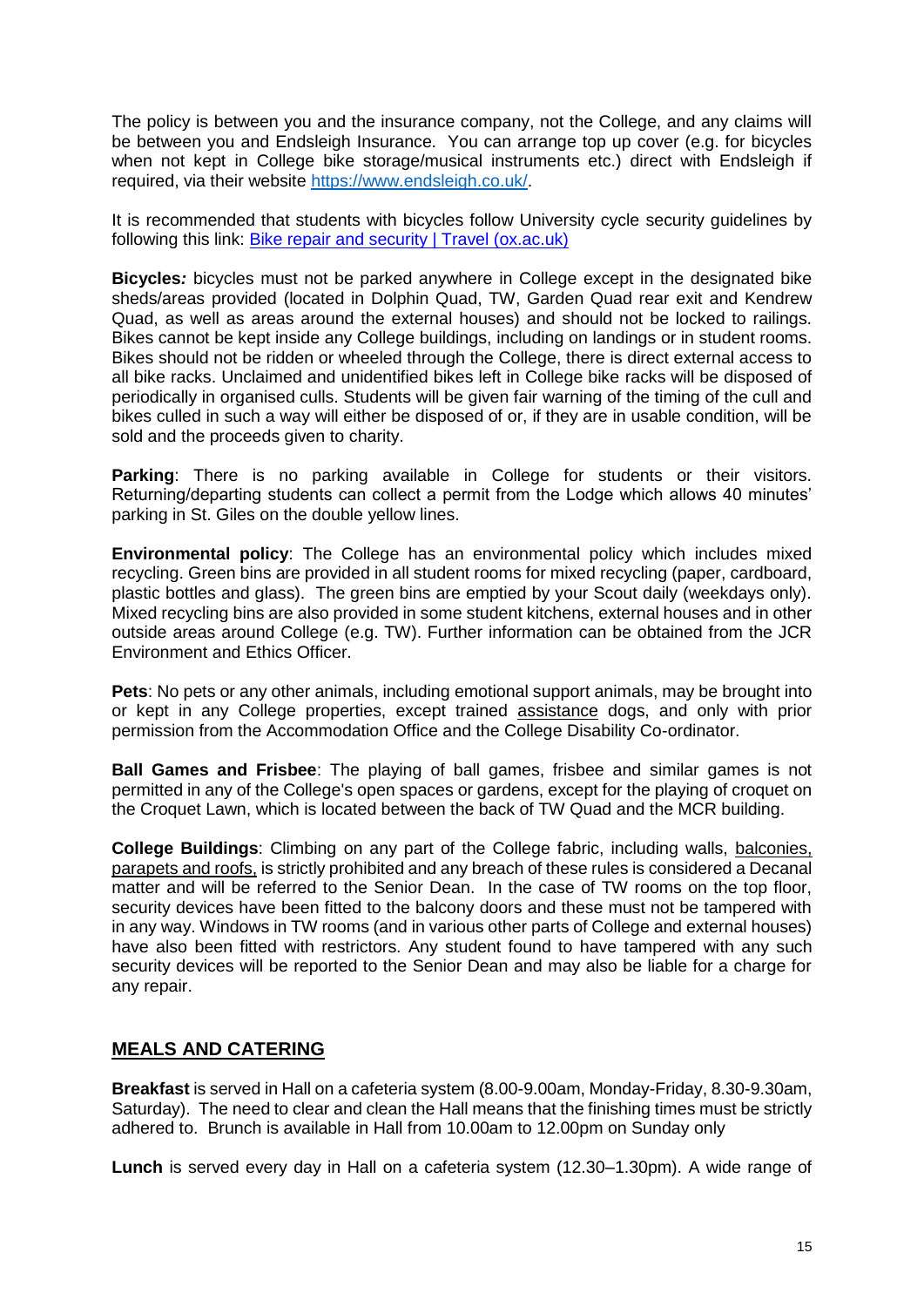The policy is between you and the insurance company, not the College, and any claims will be between you and Endsleigh Insurance. You can arrange top up cover (e.g. for bicycles when not kept in College bike storage/musical instruments etc.) direct with Endsleigh if required, via their website [https://www.endsleigh.co.uk/.](https://www.endsleigh.co.uk/)

It is recommended that students with bicycles follow University cycle security guidelines by following this link: [Bike repair and security | Travel \(ox.ac.uk\)](https://travel.admin.ox.ac.uk/bike/security#collapse1004031)

<span id="page-14-0"></span>**Bicycles***:* bicycles must not be parked anywhere in College except in the designated bike sheds/areas provided (located in Dolphin Quad, TW, Garden Quad rear exit and Kendrew Quad, as well as areas around the external houses) and should not be locked to railings. Bikes cannot be kept inside any College buildings, including on landings or in student rooms. Bikes should not be ridden or wheeled through the College, there is direct external access to all bike racks. Unclaimed and unidentified bikes left in College bike racks will be disposed of periodically in organised culls. Students will be given fair warning of the timing of the cull and bikes culled in such a way will either be disposed of or, if they are in usable condition, will be sold and the proceeds given to charity.

<span id="page-14-1"></span>**Parking**: There is no parking available in College for students or their visitors. Returning/departing students can collect a permit from the Lodge which allows 40 minutes' parking in St. Giles on the double yellow lines.

<span id="page-14-2"></span>**Environmental policy**: The College has an environmental policy which includes mixed recycling. Green bins are provided in all student rooms for mixed recycling (paper, cardboard, plastic bottles and glass). The green bins are emptied by your Scout daily (weekdays only). Mixed recycling bins are also provided in some student kitchens, external houses and in other outside areas around College (e.g. TW). Further information can be obtained from the JCR Environment and Ethics Officer.

<span id="page-14-3"></span>**Pets**: No pets or any other animals, including emotional support animals, may be brought into or kept in any College properties, except trained assistance dogs, and only with prior permission from the Accommodation Office and the College Disability Co-ordinator.

<span id="page-14-4"></span>**Ball Games and Frisbee**: The playing of ball games, frisbee and similar games is not permitted in any of the College's open spaces or gardens, except for the playing of croquet on the Croquet Lawn, which is located between the back of TW Quad and the MCR building.

<span id="page-14-5"></span>**College Buildings**: Climbing on any part of the College fabric, including walls, balconies, parapets and roofs, is strictly prohibited and any breach of these rules is considered a Decanal matter and will be referred to the Senior Dean. In the case of TW rooms on the top floor, security devices have been fitted to the balcony doors and these must not be tampered with in any way. Windows in TW rooms (and in various other parts of College and external houses) have also been fitted with restrictors. Any student found to have tampered with any such security devices will be reported to the Senior Dean and may also be liable for a charge for any repair.

# <span id="page-14-6"></span>**MEALS AND CATERING**

**Breakfast** is served in Hall on a cafeteria system (8.00-9.00am, Monday-Friday, 8.30-9.30am, Saturday). The need to clear and clean the Hall means that the finishing times must be strictly adhered to. Brunch is available in Hall from 10.00am to 12.00pm on Sunday only

**Lunch** is served every day in Hall on a cafeteria system (12.30–1.30pm). A wide range of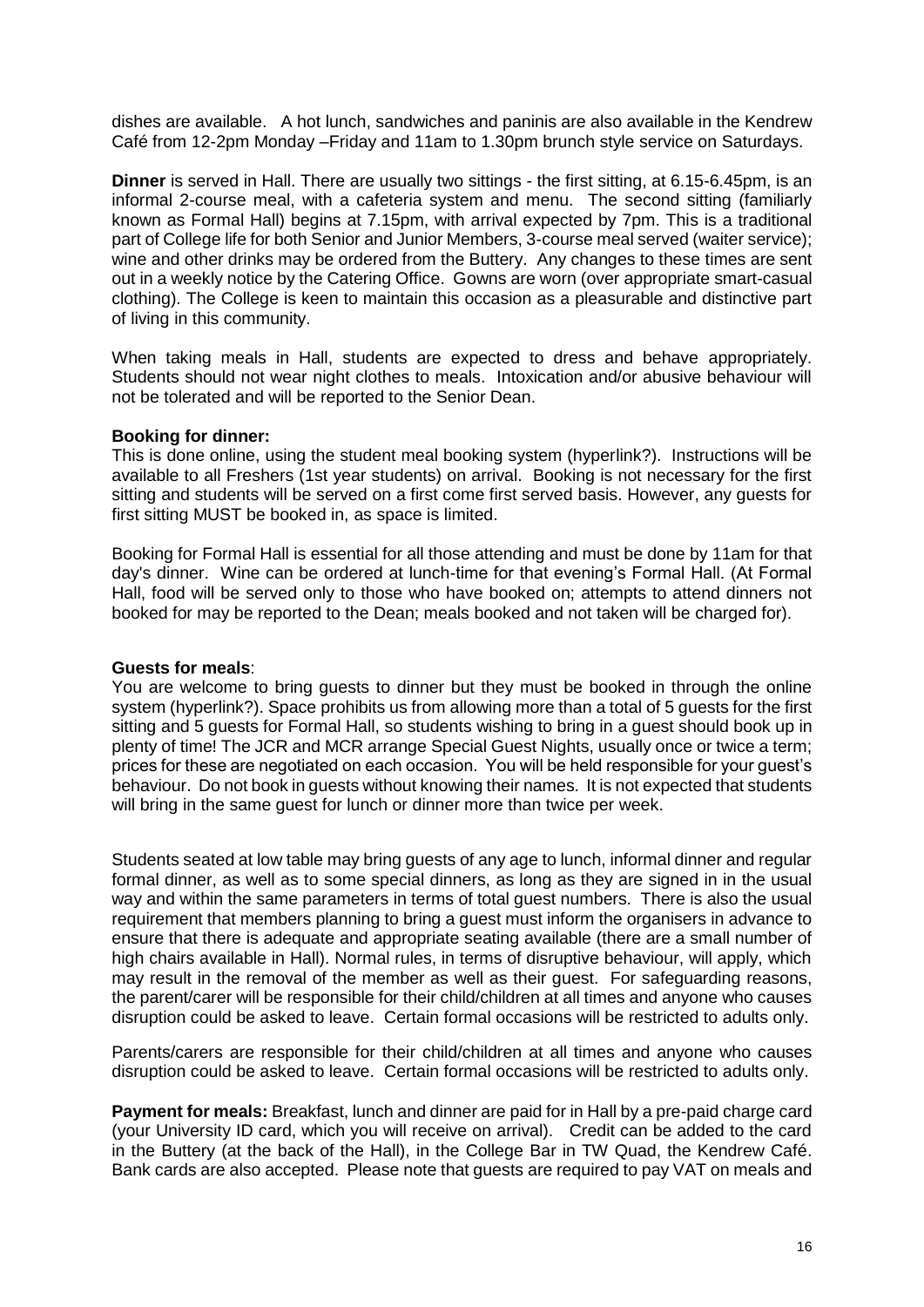dishes are available. A hot lunch, sandwiches and paninis are also available in the Kendrew Café from 12-2pm Monday –Friday and 11am to 1.30pm brunch style service on Saturdays.

<span id="page-15-0"></span>**Dinner** is served in Hall. There are usually two sittings - the first sitting, at 6.15-6.45pm, is an informal 2-course meal, with a cafeteria system and menu. The second sitting (familiarly known as Formal Hall) begins at 7.15pm, with arrival expected by 7pm. This is a traditional part of College life for both Senior and Junior Members, 3-course meal served (waiter service); wine and other drinks may be ordered from the Buttery. Any changes to these times are sent out in a weekly notice by the Catering Office. Gowns are worn (over appropriate smart-casual clothing). The College is keen to maintain this occasion as a pleasurable and distinctive part of living in this community.

When taking meals in Hall, students are expected to dress and behave appropriately. Students should not wear night clothes to meals. Intoxication and/or abusive behaviour will not be tolerated and will be reported to the Senior Dean.

#### <span id="page-15-1"></span>**Booking for dinner:**

This is done online, using the student meal booking system (hyperlink?). Instructions will be available to all Freshers (1st year students) on arrival. Booking is not necessary for the first sitting and students will be served on a first come first served basis. However, any guests for first sitting MUST be booked in, as space is limited.

Booking for Formal Hall is essential for all those attending and must be done by 11am for that day's dinner. Wine can be ordered at lunch-time for that evening's Formal Hall. (At Formal Hall, food will be served only to those who have booked on; attempts to attend dinners not booked for may be reported to the Dean; meals booked and not taken will be charged for).

#### <span id="page-15-2"></span>**Guests for meals**:

You are welcome to bring guests to dinner but they must be booked in through the online system (hyperlink?). Space prohibits us from allowing more than a total of 5 guests for the first sitting and 5 guests for Formal Hall, so students wishing to bring in a guest should book up in plenty of time! The JCR and MCR arrange Special Guest Nights, usually once or twice a term; prices for these are negotiated on each occasion. You will be held responsible for your guest's behaviour. Do not book in guests without knowing their names. It is not expected that students will bring in the same guest for lunch or dinner more than twice per week.

Students seated at low table may bring guests of any age to lunch, informal dinner and regular formal dinner, as well as to some special dinners, as long as they are signed in in the usual way and within the same parameters in terms of total guest numbers. There is also the usual requirement that members planning to bring a guest must inform the organisers in advance to ensure that there is adequate and appropriate seating available (there are a small number of high chairs available in Hall). Normal rules, in terms of disruptive behaviour, will apply, which may result in the removal of the member as well as their guest. For safeguarding reasons, the parent/carer will be responsible for their child/children at all times and anyone who causes disruption could be asked to leave. Certain formal occasions will be restricted to adults only.

Parents/carers are responsible for their child/children at all times and anyone who causes disruption could be asked to leave. Certain formal occasions will be restricted to adults only.

<span id="page-15-3"></span>**Payment for meals:** Breakfast, lunch and dinner are paid for in Hall by a pre-paid charge card (your University ID card, which you will receive on arrival). Credit can be added to the card in the Buttery (at the back of the Hall), in the College Bar in TW Quad, the Kendrew Café. Bank cards are also accepted. Please note that guests are required to pay VAT on meals and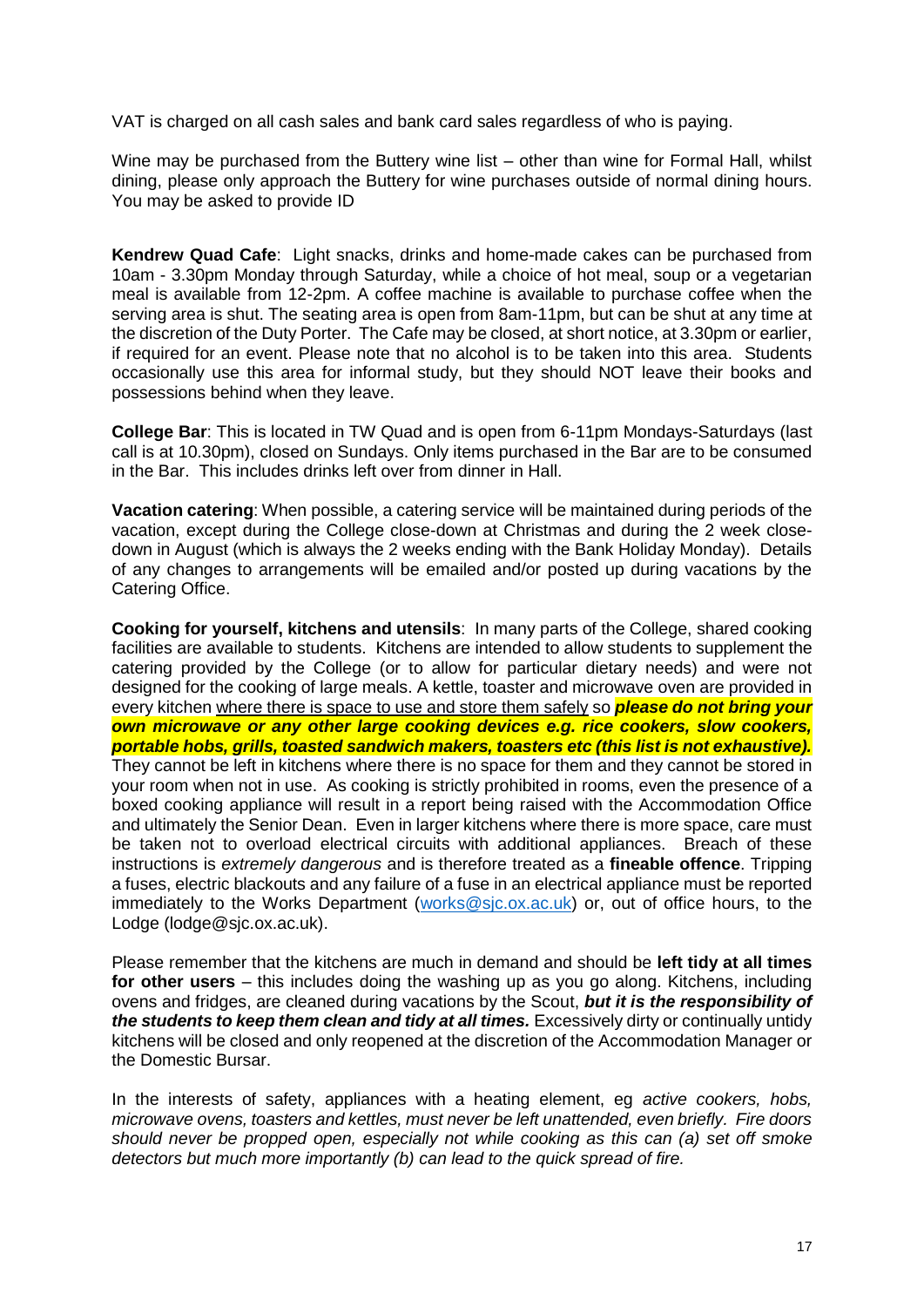VAT is charged on all cash sales and bank card sales regardless of who is paying.

Wine may be purchased from the Buttery wine list – other than wine for Formal Hall, whilst dining, please only approach the Buttery for wine purchases outside of normal dining hours. You may be asked to provide ID

<span id="page-16-0"></span>**Kendrew Quad Cafe**: Light snacks, drinks and home-made cakes can be purchased from 10am - 3.30pm Monday through Saturday, while a choice of hot meal, soup or a vegetarian meal is available from 12-2pm. A coffee machine is available to purchase coffee when the serving area is shut. The seating area is open from 8am-11pm, but can be shut at any time at the discretion of the Duty Porter. The Cafe may be closed, at short notice, at 3.30pm or earlier, if required for an event. Please note that no alcohol is to be taken into this area. Students occasionally use this area for informal study, but they should NOT leave their books and possessions behind when they leave.

<span id="page-16-1"></span>**College Bar**: This is located in TW Quad and is open from 6-11pm Mondays-Saturdays (last call is at 10.30pm), closed on Sundays. Only items purchased in the Bar are to be consumed in the Bar. This includes drinks left over from dinner in Hall.

<span id="page-16-2"></span>**Vacation catering**: When possible, a catering service will be maintained during periods of the vacation, except during the College close-down at Christmas and during the 2 week closedown in August (which is always the 2 weeks ending with the Bank Holiday Monday). Details of any changes to arrangements will be emailed and/or posted up during vacations by the Catering Office.

<span id="page-16-3"></span>**Cooking for yourself, kitchens and utensils**: In many parts of the College, shared cooking facilities are available to students. Kitchens are intended to allow students to supplement the catering provided by the College (or to allow for particular dietary needs) and were not designed for the cooking of large meals. A kettle, toaster and microwave oven are provided in every kitchen where there is space to use and store them safely so *please do not bring your own microwave or any other large cooking devices e.g. rice cookers, slow cookers, portable hobs, grills, toasted sandwich makers, toasters etc (this list is not exhaustive).* They cannot be left in kitchens where there is no space for them and they cannot be stored in your room when not in use. As cooking is strictly prohibited in rooms, even the presence of a boxed cooking appliance will result in a report being raised with the Accommodation Office and ultimately the Senior Dean. Even in larger kitchens where there is more space, care must be taken not to overload electrical circuits with additional appliances. Breach of these instructions is *extremely dangerous* and is therefore treated as a **fineable offence**. Tripping a fuses, electric blackouts and any failure of a fuse in an electrical appliance must be reported immediately to the Works Department [\(works@sjc.ox.ac.uk\)](mailto:works@sjc.ox.ac.uk) or, out of office hours, to the Lodge (lodge@sjc.ox.ac.uk).

Please remember that the kitchens are much in demand and should be **left tidy at all times for other users** – this includes doing the washing up as you go along. Kitchens, including ovens and fridges, are cleaned during vacations by the Scout, *but it is the responsibility of the students to keep them clean and tidy at all times.* Excessively dirty or continually untidy kitchens will be closed and only reopened at the discretion of the Accommodation Manager or the Domestic Bursar.

In the interests of safety, appliances with a heating element, eg *active cookers, hobs, microwave ovens, toasters and kettles, must never be left unattended, even briefly. Fire doors should never be propped open, especially not while cooking as this can (a) set off smoke detectors but much more importantly (b) can lead to the quick spread of fire.*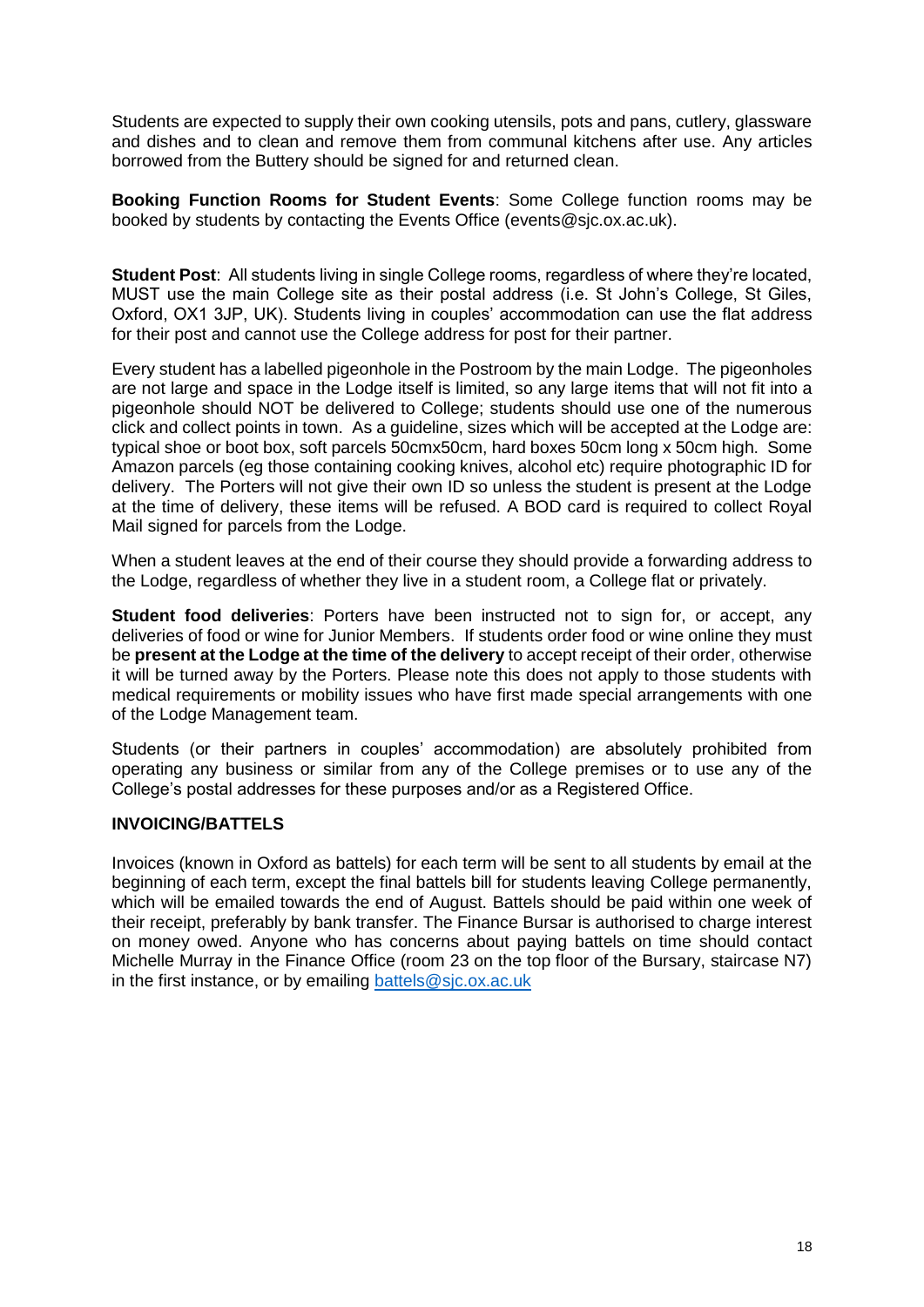Students are expected to supply their own cooking utensils, pots and pans, cutlery, glassware and dishes and to clean and remove them from communal kitchens after use. Any articles borrowed from the Buttery should be signed for and returned clean.

<span id="page-17-0"></span>**Booking Function Rooms for Student Events**: Some College function rooms may be booked by students by contacting the Events Office (events@sjc.ox.ac.uk).

<span id="page-17-1"></span>**Student Post**: All students living in single College rooms, regardless of where they're located, MUST use the main College site as their postal address (i.e. St John's College, St Giles, Oxford, OX1 3JP, UK). Students living in couples' accommodation can use the flat address for their post and cannot use the College address for post for their partner.

Every student has a labelled pigeonhole in the Postroom by the main Lodge. The pigeonholes are not large and space in the Lodge itself is limited, so any large items that will not fit into a pigeonhole should NOT be delivered to College; students should use one of the numerous click and collect points in town. As a guideline, sizes which will be accepted at the Lodge are: typical shoe or boot box, soft parcels 50cmx50cm, hard boxes 50cm long x 50cm high. Some Amazon parcels (eg those containing cooking knives, alcohol etc) require photographic ID for delivery. The Porters will not give their own ID so unless the student is present at the Lodge at the time of delivery, these items will be refused. A BOD card is required to collect Royal Mail signed for parcels from the Lodge.

When a student leaves at the end of their course they should provide a forwarding address to the Lodge, regardless of whether they live in a student room, a College flat or privately.

<span id="page-17-2"></span>**Student food deliveries**: Porters have been instructed not to sign for, or accept, any deliveries of food or wine for Junior Members. If students order food or wine online they must be **present at the Lodge at the time of the delivery** to accept receipt of their order, otherwise it will be turned away by the Porters. Please note this does not apply to those students with medical requirements or mobility issues who have first made special arrangements with one of the Lodge Management team.

Students (or their partners in couples' accommodation) are absolutely prohibited from operating any business or similar from any of the College premises or to use any of the College's postal addresses for these purposes and/or as a Registered Office.

## <span id="page-17-3"></span>**INVOICING/BATTELS**

Invoices (known in Oxford as battels) for each term will be sent to all students by email at the beginning of each term, except the final battels bill for students leaving College permanently, which will be emailed towards the end of August. Battels should be paid within one week of their receipt, preferably by bank transfer. The Finance Bursar is authorised to charge interest on money owed. Anyone who has concerns about paying battels on time should contact Michelle Murray in the Finance Office (room 23 on the top floor of the Bursary, staircase N7) in the first instance, or by emailing [battels@sjc.ox.ac.uk](mailto:battels@sjc.ox.ac.uk)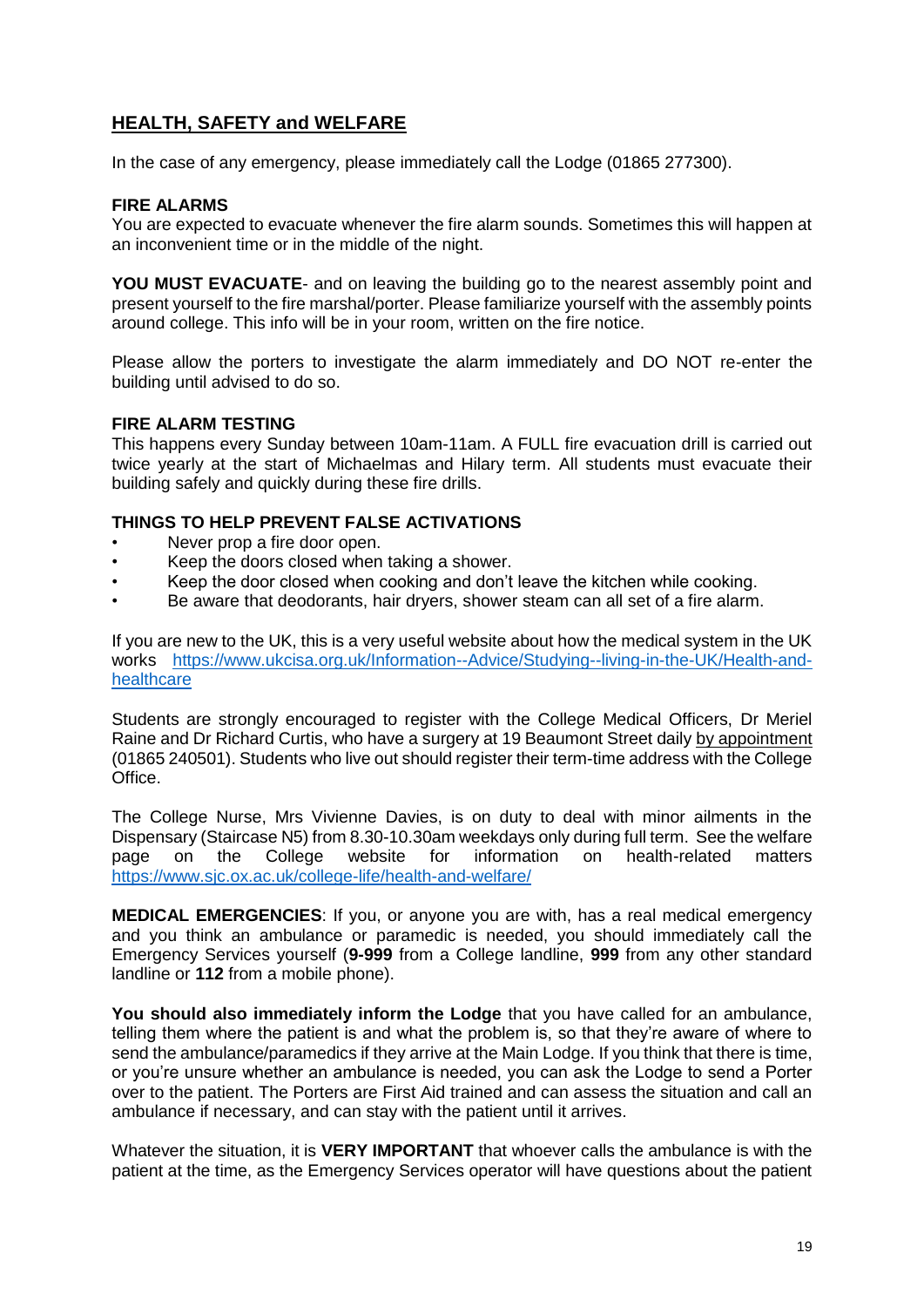# <span id="page-18-0"></span>**HEALTH, SAFETY and WELFARE**

In the case of any emergency, please immediately call the Lodge (01865 277300).

### <span id="page-18-1"></span>**FIRE ALARMS**

You are expected to evacuate whenever the fire alarm sounds. Sometimes this will happen at an inconvenient time or in the middle of the night.

**YOU MUST EVACUATE**- and on leaving the building go to the nearest assembly point and present yourself to the fire marshal/porter. Please familiarize yourself with the assembly points around college. This info will be in your room, written on the fire notice.

Please allow the porters to investigate the alarm immediately and DO NOT re-enter the building until advised to do so.

#### <span id="page-18-2"></span>**FIRE ALARM TESTING**

This happens every Sunday between 10am-11am. A FULL fire evacuation drill is carried out twice yearly at the start of Michaelmas and Hilary term. All students must evacuate their building safely and quickly during these fire drills.

## **THINGS TO HELP PREVENT FALSE ACTIVATIONS**

- Never prop a fire door open.
- Keep the doors closed when taking a shower.
- Keep the door closed when cooking and don't leave the kitchen while cooking.
- Be aware that deodorants, hair dryers, shower steam can all set of a fire alarm.

If you are new to the UK, this is a very useful website about how the medical system in the UK works [https://www.ukcisa.org.uk/Information--Advice/Studying--living-in-the-UK/Health-and](https://www.ukcisa.org.uk/Information--Advice/Studying--living-in-the-UK/Health-and-healthcare)[healthcare](https://www.ukcisa.org.uk/Information--Advice/Studying--living-in-the-UK/Health-and-healthcare)

Students are strongly encouraged to register with the College Medical Officers, Dr Meriel Raine and Dr Richard Curtis, who have a surgery at 19 Beaumont Street daily by appointment (01865 240501). Students who live out should register their term-time address with the College Office.

The College Nurse, Mrs Vivienne Davies, is on duty to deal with minor ailments in the Dispensary (Staircase N5) from 8.30-10.30am weekdays only during full term. See the welfare page on the College website for information on health-related matters <https://www.sjc.ox.ac.uk/college-life/health-and-welfare/>

<span id="page-18-3"></span>**MEDICAL EMERGENCIES**: If you, or anyone you are with, has a real medical emergency and you think an ambulance or paramedic is needed, you should immediately call the Emergency Services yourself (**9-999** from a College landline, **999** from any other standard landline or **112** from a mobile phone).

**You should also immediately inform the Lodge** that you have called for an ambulance, telling them where the patient is and what the problem is, so that they're aware of where to send the ambulance/paramedics if they arrive at the Main Lodge. If you think that there is time, or you're unsure whether an ambulance is needed, you can ask the Lodge to send a Porter over to the patient. The Porters are First Aid trained and can assess the situation and call an ambulance if necessary, and can stay with the patient until it arrives.

Whatever the situation, it is **VERY IMPORTANT** that whoever calls the ambulance is with the patient at the time, as the Emergency Services operator will have questions about the patient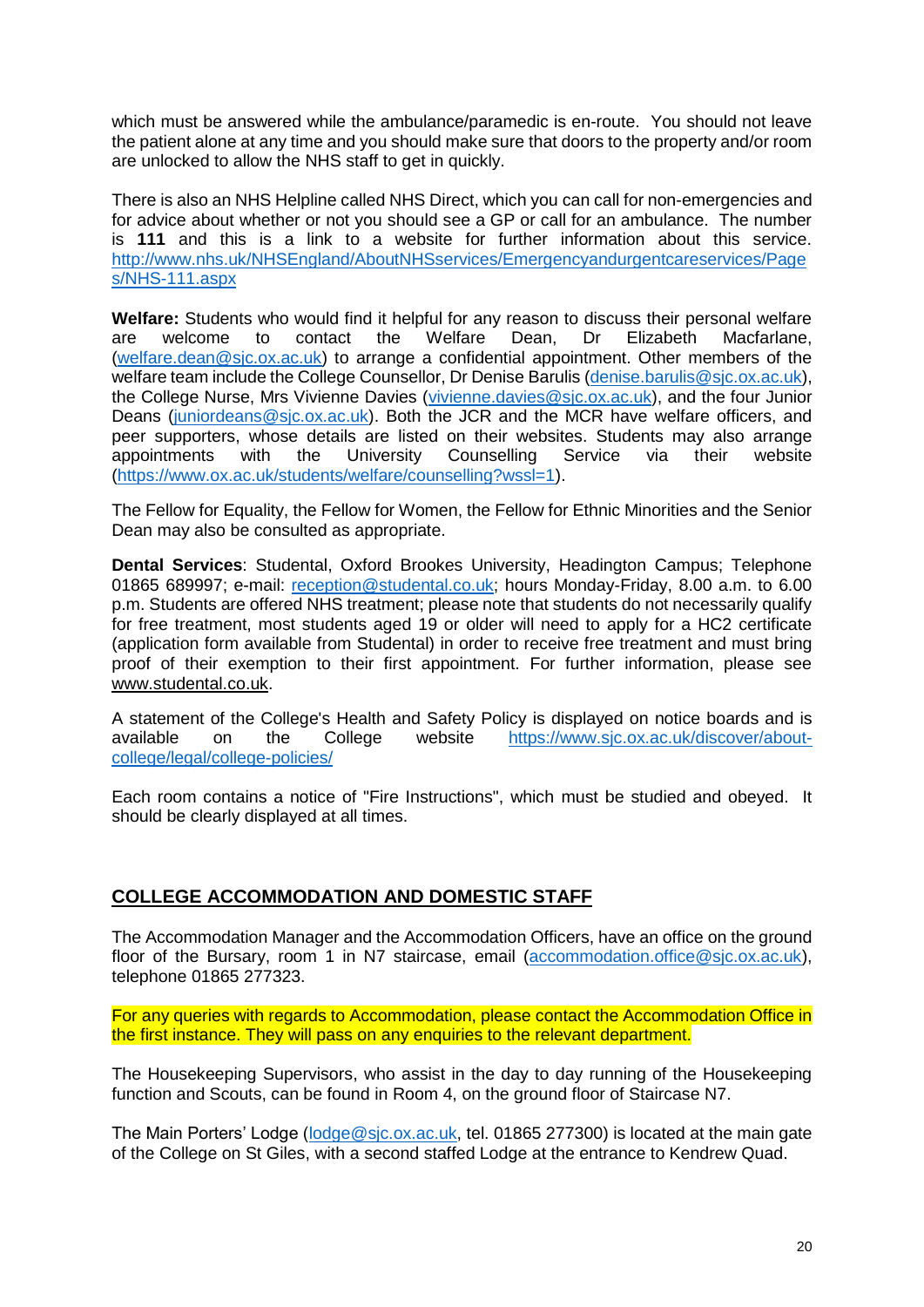which must be answered while the ambulance/paramedic is en-route. You should not leave the patient alone at any time and you should make sure that doors to the property and/or room are unlocked to allow the NHS staff to get in quickly.

There is also an NHS Helpline called NHS Direct, which you can call for non-emergencies and for advice about whether or not you should see a GP or call for an ambulance. The number is **111** and this is a link to a website for further information about this service. [http://www.nhs.uk/NHSEngland/AboutNHSservices/Emergencyandurgentcareservices/Page](http://www.nhs.uk/NHSEngland/AboutNHSservices/Emergencyandurgentcareservices/Pages/NHS-111.aspx) [s/NHS-111.aspx](http://www.nhs.uk/NHSEngland/AboutNHSservices/Emergencyandurgentcareservices/Pages/NHS-111.aspx)

<span id="page-19-0"></span>**Welfare:** Students who would find it helpful for any reason to discuss their personal welfare are welcome to contact the Welfare Dean, Dr Elizabeth Macfarlane, [\(welfare.dean@sjc.ox.ac.uk\)](mailto:welfare.dean@sjc.ox.ac.uk) to arrange a confidential appointment. Other members of the welfare team include the College Counsellor, Dr Denise Barulis [\(denise.barulis@sjc.ox.ac.uk\)](mailto:denise.barulis@sjc.ox.ac.uk), the College Nurse, Mrs Vivienne Davies [\(vivienne.davies@sjc.ox.ac.uk\)](mailto:vivienne.davies@sjc.ox.ac.uk), and the four Junior Deans [\(juniordeans@sjc.ox.ac.uk\)](mailto:juniordeans@sjc.ox.ac.uk). Both the JCR and the MCR have welfare officers, and peer supporters, whose details are listed on their websites. Students may also arrange appointments with the University Counselling Service via their website [\(https://www.ox.ac.uk/students/welfare/counselling?wssl=1\)](https://www.ox.ac.uk/students/welfare/counselling?wssl=1).

The Fellow for Equality, the Fellow for Women, the Fellow for Ethnic Minorities and the Senior Dean may also be consulted as appropriate.

<span id="page-19-1"></span>**Dental Services**: Studental, Oxford Brookes University, Headington Campus; Telephone 01865 689997; e-mail: [reception@studental.co.uk;](mailto:reception@studental.co.uk) hours Monday-Friday, 8.00 a.m. to 6.00 p.m. Students are offered NHS treatment; please note that students do not necessarily qualify for free treatment, most students aged 19 or older will need to apply for a HC2 certificate (application form available from Studental) in order to receive free treatment and must bring proof of their exemption to their first appointment. For further information, please see [www.studental.co.uk.](http://www.studental.co.uk/)

A statement of the College's Health and Safety Policy is displayed on notice boards and is available on the College website [https://www.sjc.ox.ac.uk/discover/about](https://www.sjc.ox.ac.uk/discover/about-college/legal/college-policies/)[college/legal/college-policies/](https://www.sjc.ox.ac.uk/discover/about-college/legal/college-policies/)

Each room contains a notice of "Fire Instructions", which must be studied and obeyed. It should be clearly displayed at all times.

# <span id="page-19-2"></span>**COLLEGE ACCOMMODATION AND DOMESTIC STAFF**

The Accommodation Manager and the Accommodation Officers, have an office on the ground floor of the Bursary, room 1 in N7 staircase, email [\(accommodation.office@sjc.ox.ac.uk\)](mailto:accommodation.office@sjc.ox.ac.uk), telephone 01865 277323.

For any queries with regards to Accommodation, please contact the Accommodation Office in the first instance. They will pass on any enquiries to the relevant department.

The Housekeeping Supervisors, who assist in the day to day running of the Housekeeping function and Scouts, can be found in Room 4, on the ground floor of Staircase N7.

The Main Porters' Lodge (lodge @sjc.ox.ac.uk, tel. 01865 277300) is located at the main gate of the College on St Giles, with a second staffed Lodge at the entrance to Kendrew Quad.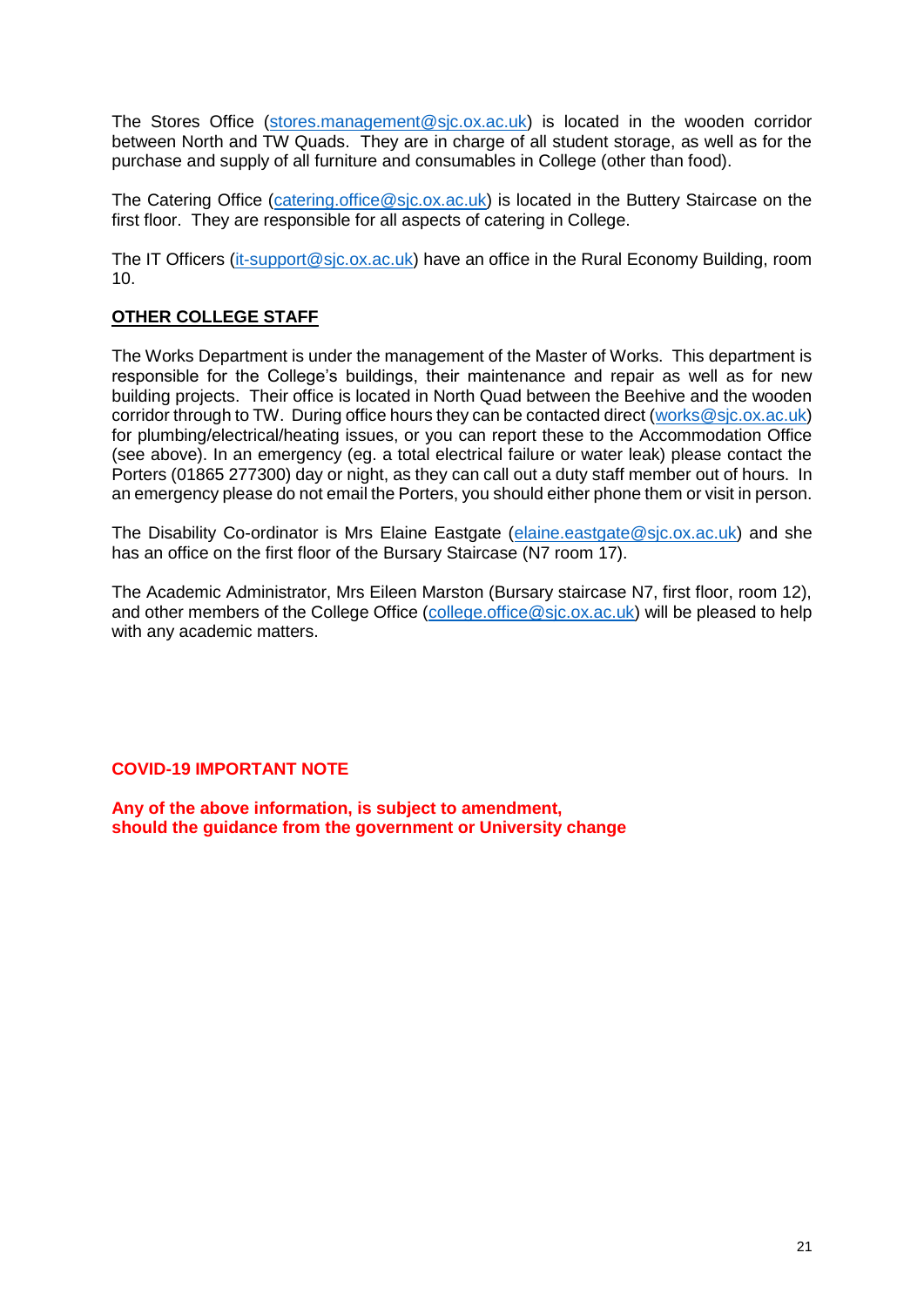The Stores Office [\(stores.management@sjc.ox.ac.uk\)](mailto:stores.management@sjc.ox.ac.uk) is located in the wooden corridor between North and TW Quads. They are in charge of all student storage, as well as for the purchase and supply of all furniture and consumables in College (other than food).

The Catering Office (catering office@sic.ox.ac.uk) is located in the Buttery Staircase on the first floor. They are responsible for all aspects of catering in College.

The IT Officers [\(it-support@sjc.ox.ac.uk\)](mailto:it-support@sjc.ox.ac.uk) have an office in the Rural Economy Building, room 10.

# <span id="page-20-0"></span>**OTHER COLLEGE STAFF**

The Works Department is under the management of the Master of Works. This department is responsible for the College's buildings, their maintenance and repair as well as for new building projects. Their office is located in North Quad between the Beehive and the wooden corridor through to TW. During office hours they can be contacted direct [\(works@sjc.ox.ac.uk\)](mailto:works@sjc.ox.ac.uk) for plumbing/electrical/heating issues, or you can report these to the Accommodation Office (see above). In an emergency (eg. a total electrical failure or water leak) please contact the Porters (01865 277300) day or night, as they can call out a duty staff member out of hours. In an emergency please do not email the Porters, you should either phone them or visit in person.

The Disability Co-ordinator is Mrs Elaine Eastgate [\(elaine.eastgate@sjc.ox.ac.uk\)](mailto:elaine.eastgate@sjc.ox.ac.uk) and she has an office on the first floor of the Bursary Staircase (N7 room 17).

The Academic Administrator, Mrs Eileen Marston (Bursary staircase N7, first floor, room 12), and other members of the College Office [\(college.office@sjc.ox.ac.uk\)](mailto:college.office@sjc.ox.ac.uk) will be pleased to help with any academic matters.

## **COVID-19 IMPORTANT NOTE**

**Any of the above information, is subject to amendment, should the guidance from the government or University change**